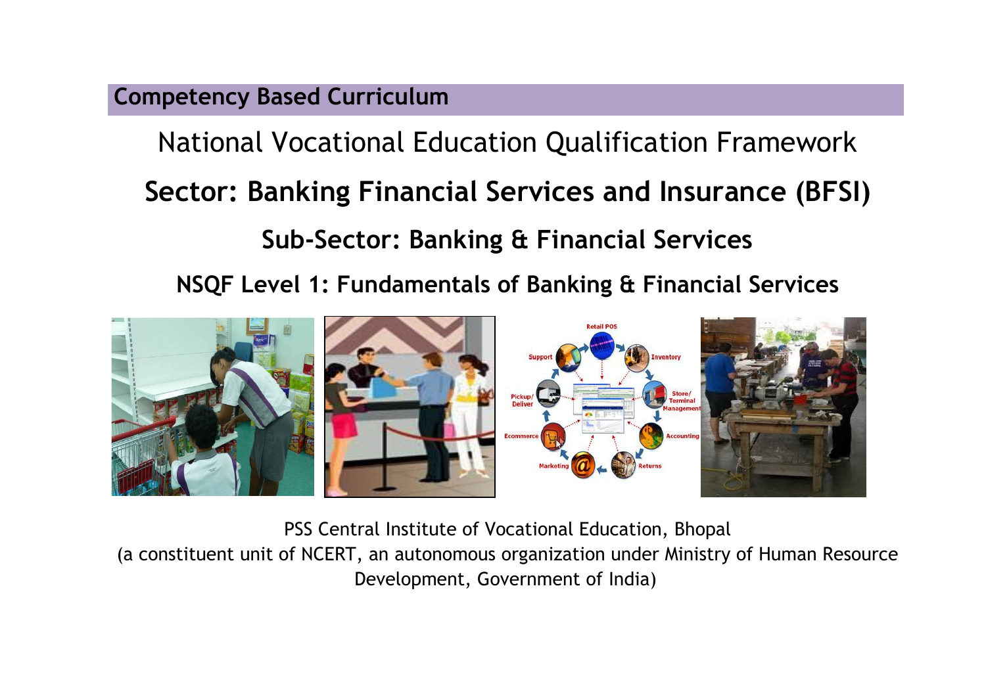**Competency Based Curriculum** 

National Vocational Education Qualification Framework **Sector: Banking Financial Services and Insurance (BFSI) Sub-Sector: Banking & Financial Services**

**NSQF Level 1: Fundamentals of Banking & Financial Services**



PSS Central Institute of Vocational Education, Bhopal

(a constituent unit of NCERT, an autonomous organization under Ministry of Human Resource Development, Government of India)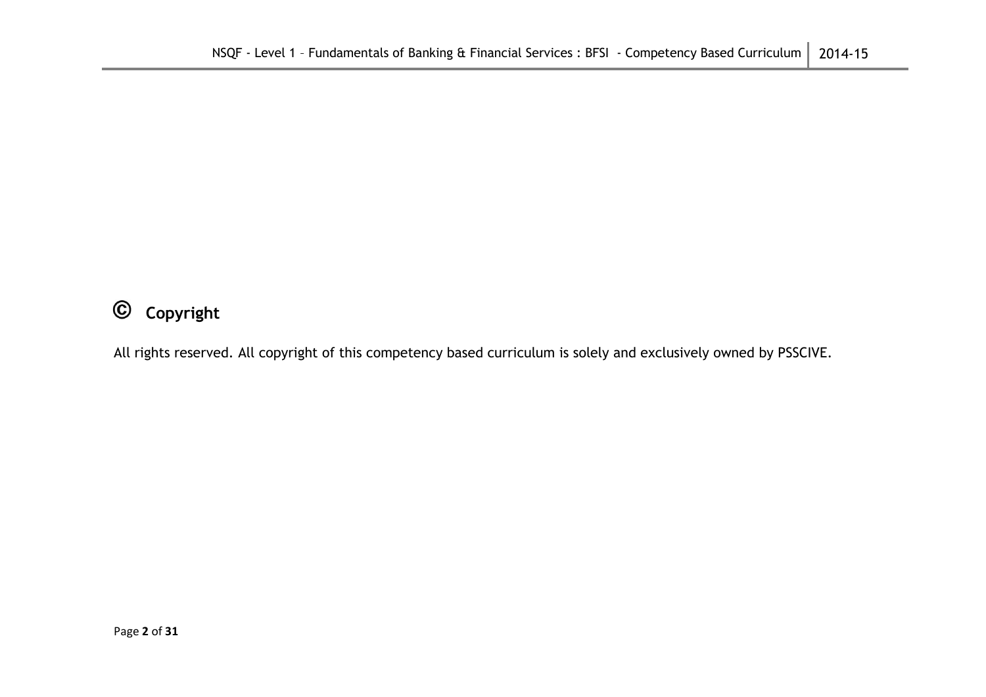#### $\odot$ **Copyright**

All rights reserved. All copyright of this competency based curriculum is solely and exclusively owned by PSSCIVE.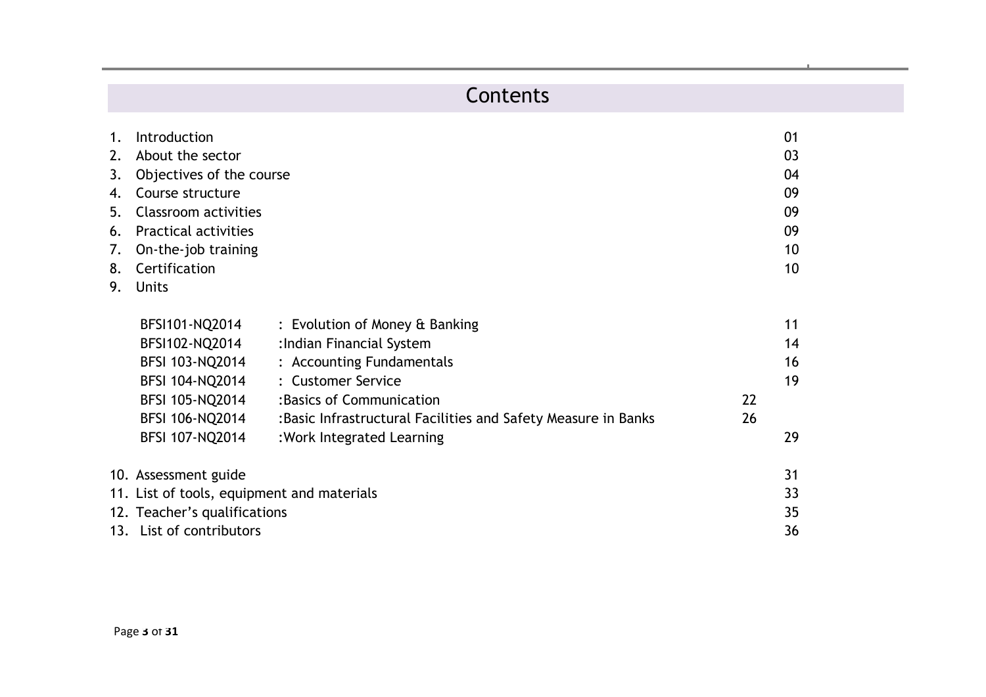# Contents

| Introduction     |                                                                                                                                                             |                                                                                                        | 01 |
|------------------|-------------------------------------------------------------------------------------------------------------------------------------------------------------|--------------------------------------------------------------------------------------------------------|----|
| About the sector |                                                                                                                                                             |                                                                                                        | 03 |
|                  |                                                                                                                                                             |                                                                                                        | 04 |
| Course structure |                                                                                                                                                             |                                                                                                        | 09 |
|                  |                                                                                                                                                             |                                                                                                        | 09 |
|                  |                                                                                                                                                             |                                                                                                        | 09 |
|                  |                                                                                                                                                             |                                                                                                        | 10 |
|                  |                                                                                                                                                             |                                                                                                        | 10 |
| <b>Units</b>     |                                                                                                                                                             |                                                                                                        |    |
| BFSI101-NQ2014   | : Evolution of Money & Banking                                                                                                                              |                                                                                                        | 11 |
| BFSI102-NQ2014   | : Indian Financial System                                                                                                                                   |                                                                                                        | 14 |
| BFSI 103-NQ2014  | : Accounting Fundamentals                                                                                                                                   |                                                                                                        | 16 |
| BFSI 104-NQ2014  | : Customer Service                                                                                                                                          |                                                                                                        | 19 |
| BFSI 105-NQ2014  | : Basics of Communication                                                                                                                                   | 22                                                                                                     |    |
| BFSI 106-NQ2014  | : Basic Infrastructural Facilities and Safety Measure in Banks                                                                                              | 26                                                                                                     |    |
| BFSI 107-NQ2014  | : Work Integrated Learning                                                                                                                                  |                                                                                                        | 29 |
|                  |                                                                                                                                                             |                                                                                                        | 31 |
|                  |                                                                                                                                                             |                                                                                                        | 33 |
|                  |                                                                                                                                                             |                                                                                                        | 35 |
|                  |                                                                                                                                                             |                                                                                                        | 36 |
|                  | 3.<br>Classroom activities<br><b>Practical activities</b><br>6.<br>On-the-job training<br>Certification<br>10. Assessment guide<br>13. List of contributors | Objectives of the course<br>11. List of tools, equipment and materials<br>12. Teacher's qualifications |    |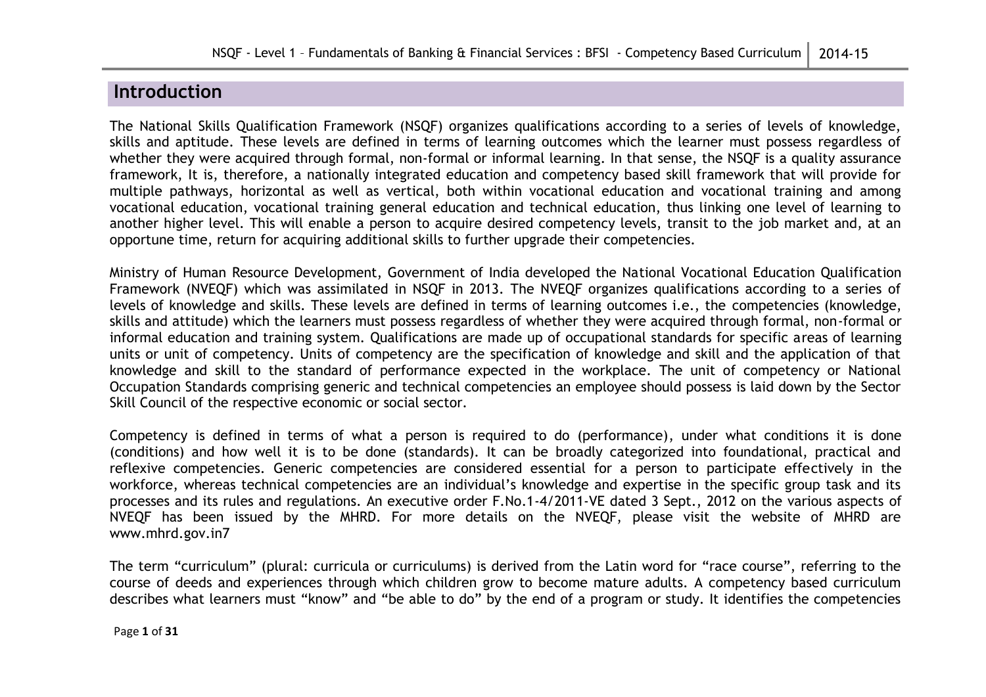# **Introduction**

The National Skills Qualification Framework (NSQF) organizes qualifications according to a series of levels of knowledge, skills and aptitude. These levels are defined in terms of learning outcomes which the learner must possess regardless of whether they were acquired through formal, non-formal or informal learning. In that sense, the NSQF is a quality assurance framework, It is, therefore, a nationally integrated education and competency based skill framework that will provide for multiple pathways, horizontal as well as vertical, both within vocational education and vocational training and among vocational education, vocational training general education and technical education, thus linking one level of learning to another higher level. This will enable a person to acquire desired competency levels, transit to the job market and, at an opportune time, return for acquiring additional skills to further upgrade their competencies.

Ministry of Human Resource Development, Government of India developed the National Vocational Education Qualification Framework (NVEQF) which was assimilated in NSQF in 2013. The NVEQF organizes qualifications according to a series of levels of knowledge and skills. These levels are defined in terms of learning outcomes i.e., the competencies (knowledge, skills and attitude) which the learners must possess regardless of whether they were acquired through formal, non-formal or informal education and training system. Qualifications are made up of occupational standards for specific areas of learning units or unit of competency. Units of competency are the specification of knowledge and skill and the application of that knowledge and skill to the standard of performance expected in the workplace. The unit of competency or National Occupation Standards comprising generic and technical competencies an employee should possess is laid down by the Sector Skill Council of the respective economic or social sector.

Competency is defined in terms of what a person is required to do (performance), under what conditions it is done (conditions) and how well it is to be done (standards). It can be broadly categorized into foundational, practical and reflexive competencies. Generic competencies are considered essential for a person to participate effectively in the workforce, whereas technical competencies are an individual's knowledge and expertise in the specific group task and its processes and its rules and regulations. An executive order F.No.1-4/2011-VE dated 3 Sept., 2012 on the various aspects of NVEQF has been issued by the MHRD. For more details on the NVEQF, please visit the website of MHRD are www.mhrd.gov.in7

The term "curriculum" (plural: curricula or curriculums) is derived from the Latin word for "race course", referring to the course of deeds and experiences through which children grow to become mature adults. A competency based curriculum describes what learners must "know" and "be able to do" by the end of a program or study. It identifies the competencies

Page **1** of **31**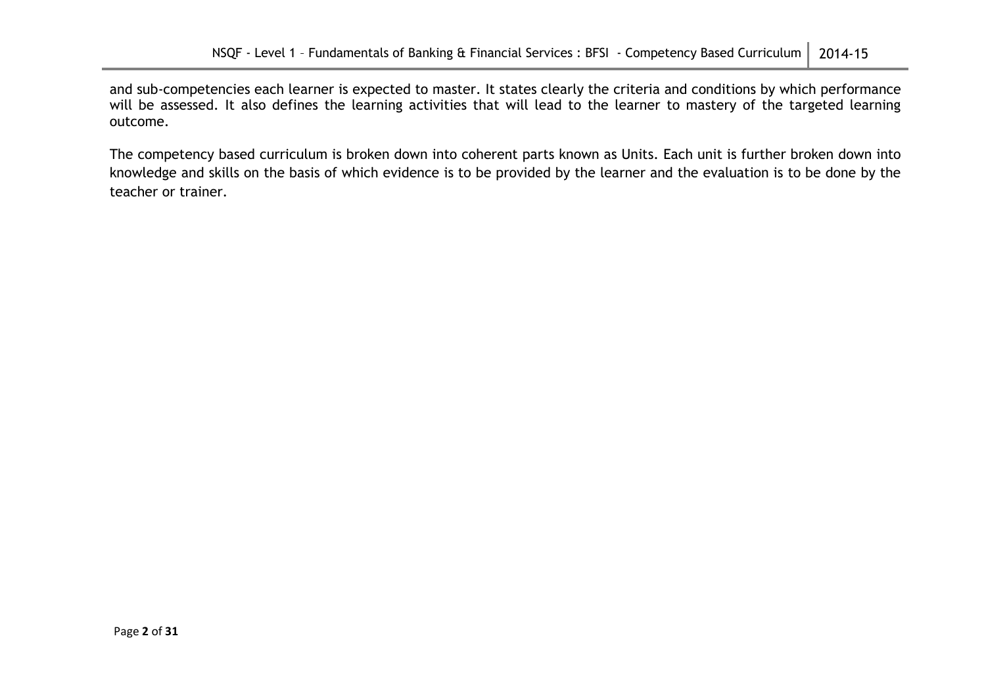and sub-competencies each learner is expected to master. It states clearly the criteria and conditions by which performance will be assessed. It also defines the learning activities that will lead to the learner to mastery of the targeted learning outcome.

The competency based curriculum is broken down into coherent parts known as Units. Each unit is further broken down into knowledge and skills on the basis of which evidence is to be provided by the learner and the evaluation is to be done by the teacher or trainer.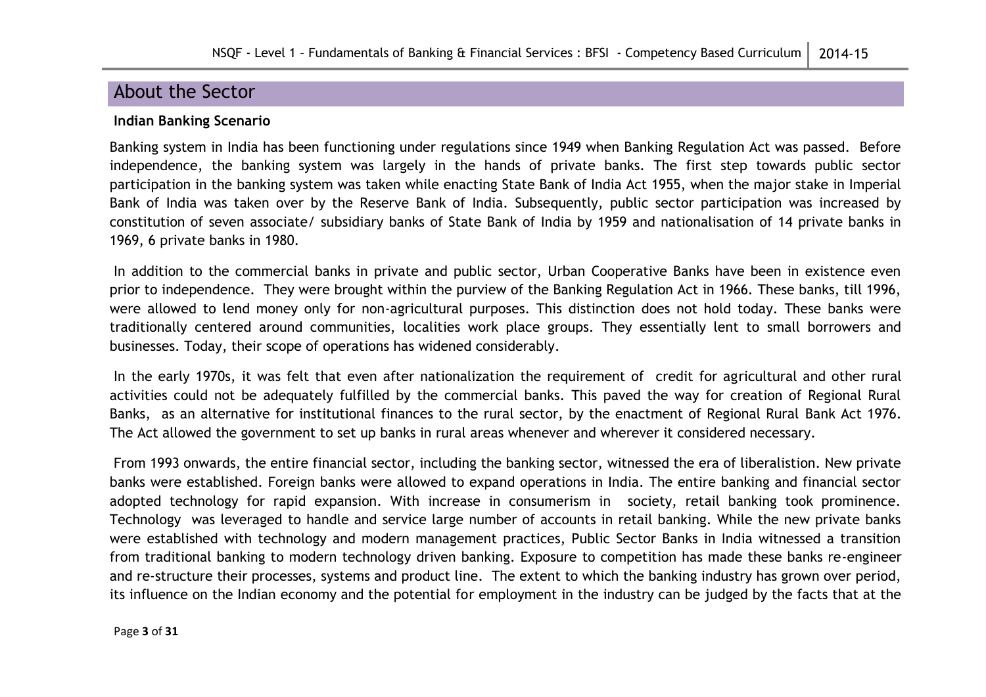# About the Sector

#### **Indian Banking Scenario**

Banking system in India has been functioning under regulations since 1949 when Banking Regulation Act was passed. Before independence, the banking system was largely in the hands of private banks. The first step towards public sector participation in the banking system was taken while enacting State Bank of India Act 1955, when the major stake in Imperial Bank of India was taken over by the Reserve Bank of India. Subsequently, public sector participation was increased by constitution of seven associate/ subsidiary banks of State Bank of India by 1959 and nationalisation of 14 private banks in 1969, 6 private banks in 1980.

In addition to the commercial banks in private and public sector, Urban Cooperative Banks have been in existence even prior to independence. They were brought within the purview of the Banking Regulation Act in 1966. These banks, till 1996, were allowed to lend money only for non-agricultural purposes. This distinction does not hold today. These banks were traditionally centered around communities, localities work place groups. They essentially lent to small borrowers and businesses. Today, their scope of operations has widened considerably.

In the early 1970s, it was felt that even after nationalization the requirement of credit for agricultural and other rural activities could not be adequately fulfilled by the commercial banks. This paved the way for creation of Regional Rural Banks, as an alternative for institutional finances to the rural sector, by the enactment of Regional Rural Bank Act 1976. The Act allowed the government to set up banks in rural areas whenever and wherever it considered necessary.

From 1993 onwards, the entire financial sector, including the banking sector, witnessed the era of liberalistion. New private banks were established. Foreign banks were allowed to expand operations in India. The entire banking and financial sector adopted technology for rapid expansion. With increase in consumerism in society, retail banking took prominence. Technology was leveraged to handle and service large number of accounts in retail banking. While the new private banks were established with technology and modern management practices, Public Sector Banks in India witnessed a transition from traditional banking to modern technology driven banking. Exposure to competition has made these banks re-engineer and re-structure their processes, systems and product line. The extent to which the banking industry has grown over period, its influence on the Indian economy and the potential for employment in the industry can be judged by the facts that at the

Page **3** of **31**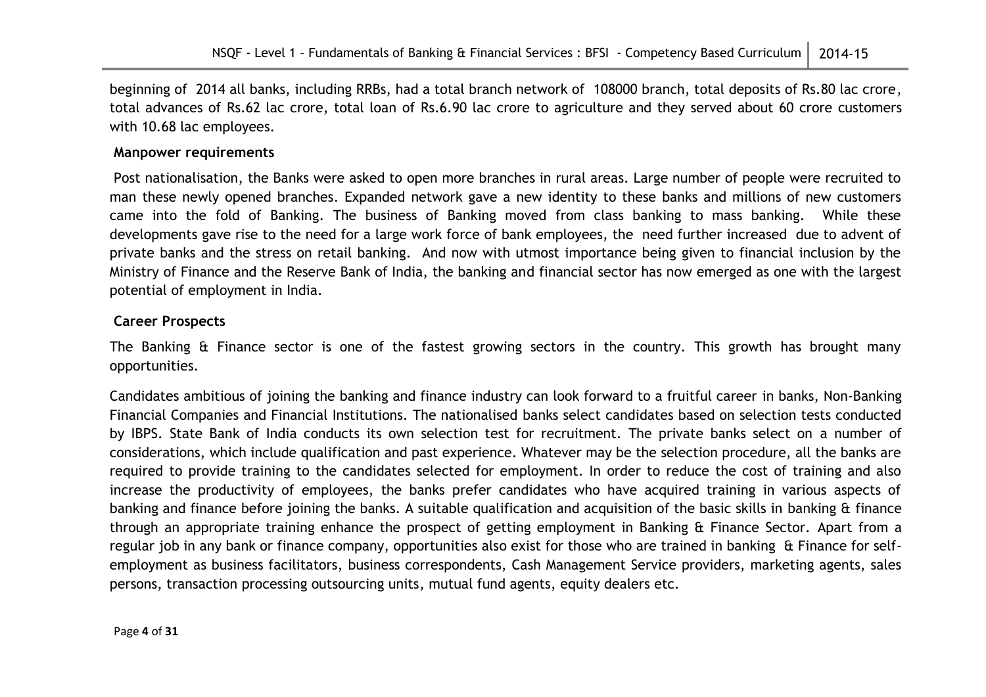beginning of 2014 all banks, including RRBs, had a total branch network of 108000 branch, total deposits of Rs.80 lac crore, total advances of Rs.62 lac crore, total loan of Rs.6.90 lac crore to agriculture and they served about 60 crore customers with 10.68 lac employees.

#### **Manpower requirements**

Post nationalisation, the Banks were asked to open more branches in rural areas. Large number of people were recruited to man these newly opened branches. Expanded network gave a new identity to these banks and millions of new customers came into the fold of Banking. The business of Banking moved from class banking to mass banking. While these developments gave rise to the need for a large work force of bank employees, the need further increased due to advent of private banks and the stress on retail banking. And now with utmost importance being given to financial inclusion by the Ministry of Finance and the Reserve Bank of India, the banking and financial sector has now emerged as one with the largest potential of employment in India.

#### **Career Prospects**

The Banking & Finance sector is one of the fastest growing sectors in the country. This growth has brought many opportunities.

Candidates ambitious of joining the banking and finance industry can look forward to a fruitful career in banks, Non-Banking Financial Companies and Financial Institutions. The nationalised banks select candidates based on selection tests conducted by IBPS. State Bank of India conducts its own selection test for recruitment. The private banks select on a number of considerations, which include qualification and past experience. Whatever may be the selection procedure, all the banks are required to provide training to the candidates selected for employment. In order to reduce the cost of training and also increase the productivity of employees, the banks prefer candidates who have acquired training in various aspects of banking and finance before joining the banks. A suitable qualification and acquisition of the basic skills in banking & finance through an appropriate training enhance the prospect of getting employment in Banking & Finance Sector. Apart from a regular job in any bank or finance company, opportunities also exist for those who are trained in banking & Finance for selfemployment as business facilitators, business correspondents, Cash Management Service providers, marketing agents, sales persons, transaction processing outsourcing units, mutual fund agents, equity dealers etc.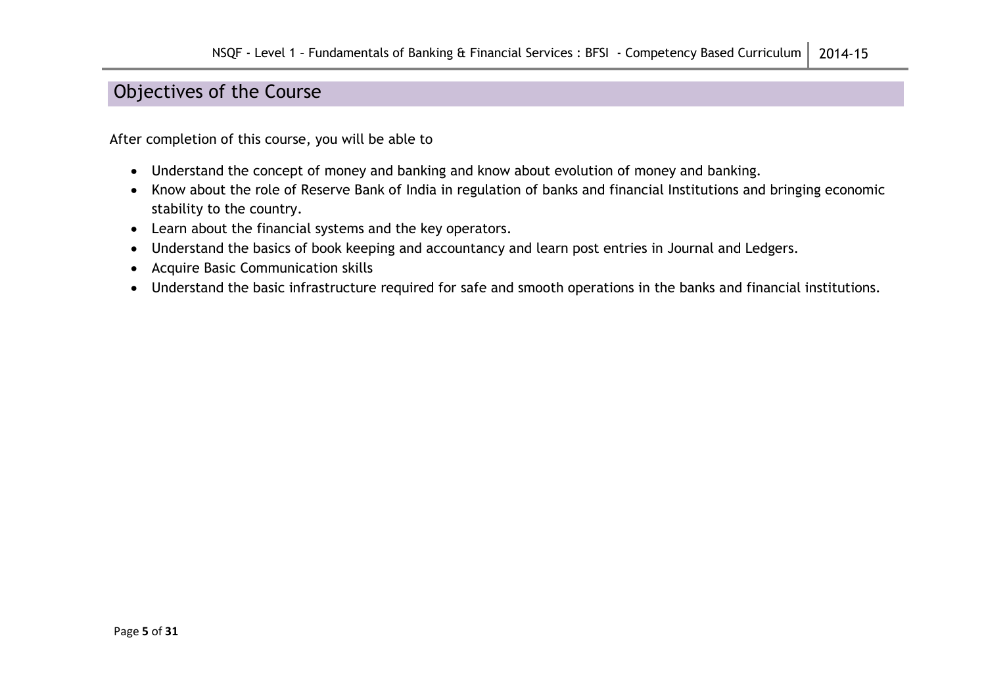# Objectives of the Course

After completion of this course, you will be able to

- Understand the concept of money and banking and know about evolution of money and banking.
- Know about the role of Reserve Bank of India in regulation of banks and financial Institutions and bringing economic stability to the country.
- Learn about the financial systems and the key operators.
- Understand the basics of book keeping and accountancy and learn post entries in Journal and Ledgers.
- Acquire Basic Communication skills
- Understand the basic infrastructure required for safe and smooth operations in the banks and financial institutions.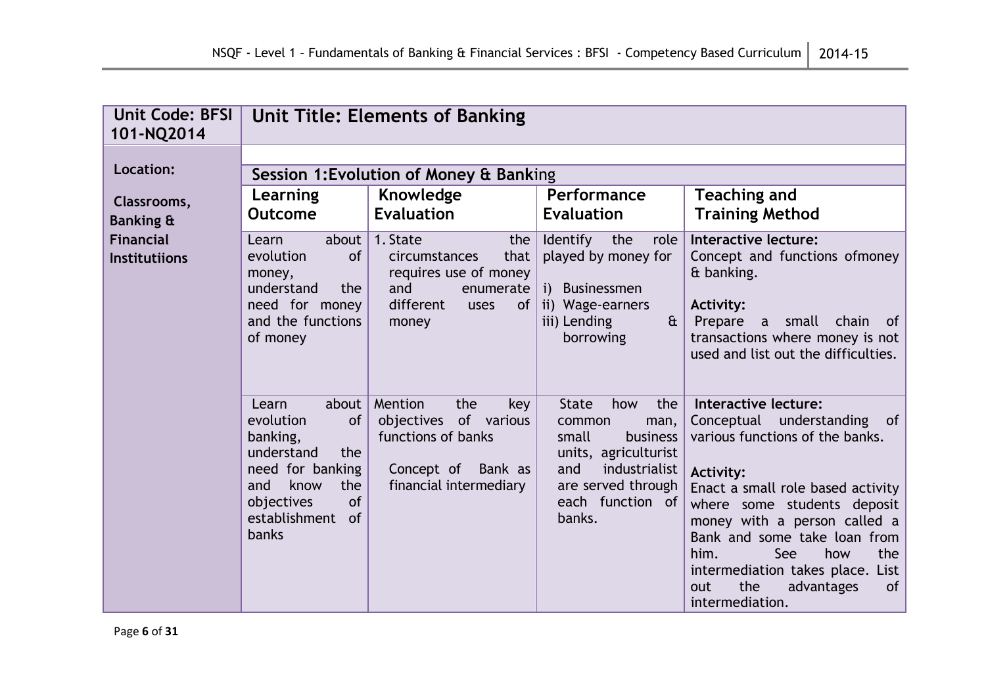| <b>Unit Code: BFSI</b><br>101-NQ2014     | <b>Unit Title: Elements of Banking</b>                                                                                                                                         |                                                                                                                           |                                                                                                                                                                       |                                                                                                                                                                                                                                                                                                                                                                      |
|------------------------------------------|--------------------------------------------------------------------------------------------------------------------------------------------------------------------------------|---------------------------------------------------------------------------------------------------------------------------|-----------------------------------------------------------------------------------------------------------------------------------------------------------------------|----------------------------------------------------------------------------------------------------------------------------------------------------------------------------------------------------------------------------------------------------------------------------------------------------------------------------------------------------------------------|
| Location:                                | Session 1: Evolution of Money & Banking                                                                                                                                        |                                                                                                                           |                                                                                                                                                                       |                                                                                                                                                                                                                                                                                                                                                                      |
| Classrooms,<br>Banking &                 | Learning<br><b>Outcome</b>                                                                                                                                                     | Knowledge<br><b>Evaluation</b>                                                                                            | Performance<br><b>Evaluation</b>                                                                                                                                      | <b>Teaching and</b><br><b>Training Method</b>                                                                                                                                                                                                                                                                                                                        |
| <b>Financial</b><br><b>Institutiions</b> | about<br>Learn<br>of<br>evolution<br>money,<br>understand<br>the<br>need for money<br>and the functions<br>of money                                                            | 1. State<br>the<br>that<br>circumstances<br>requires use of money<br>and<br>enumerate<br>different<br>of<br>uses<br>money | <b>Identify</b><br>the<br>role<br>played by money for<br>i) Businessmen<br>ii) Wage-earners<br>iii) Lending<br>$\mathbf{a}$<br>borrowing                              | Interactive lecture:<br>Concept and functions ofmoney<br>& banking.<br><b>Activity:</b><br>Prepare<br>small<br>chain<br>of<br>$\mathbf{a}$<br>transactions where money is not<br>used and list out the difficulties.                                                                                                                                                 |
|                                          | about<br>Learn<br>evolution<br><b>of</b><br>banking,<br>understand<br>the<br>need for banking<br>and<br>know<br>the<br>of<br>objectives<br>establishment<br>of<br><b>banks</b> | Mention<br>the<br>key<br>objectives of various<br>functions of banks<br>Concept of Bank as<br>financial intermediary      | <b>State</b><br>the<br>how<br>common<br>man,<br>small<br>business<br>units, agriculturist<br>industrialist<br>and<br>are served through<br>each function of<br>banks. | Interactive lecture:<br>Conceptual understanding of<br>various functions of the banks.<br><b>Activity:</b><br>Enact a small role based activity<br>where some students deposit<br>money with a person called a<br>Bank and some take loan from<br>See<br>how<br>the<br>him.<br>intermediation takes place. List<br>the<br>of<br>advantages<br>out<br>intermediation. |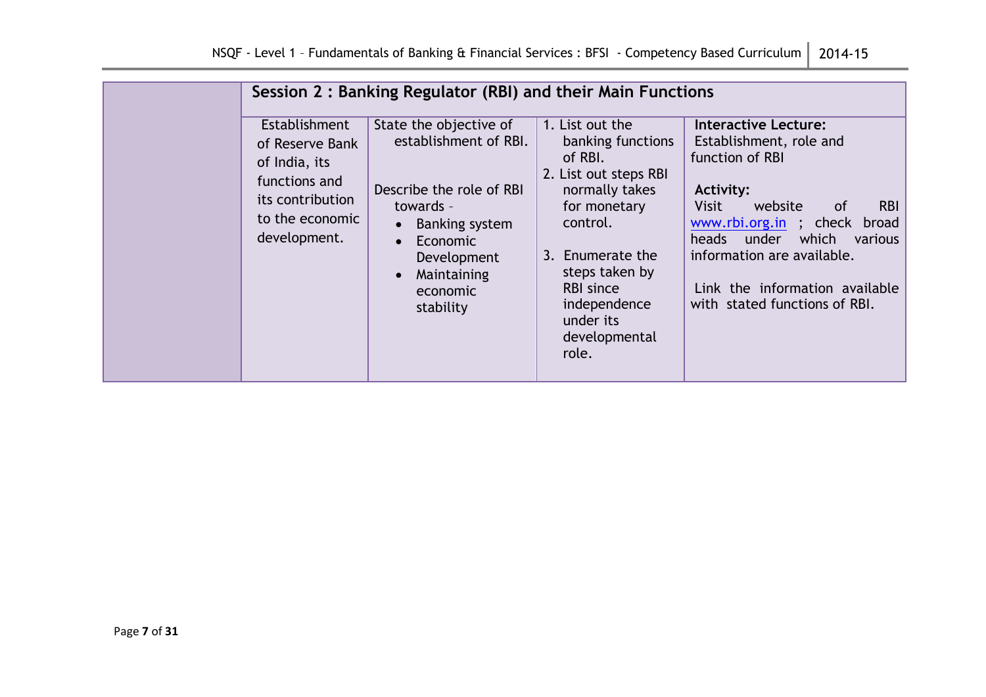|                                                                                                                           | Session 2: Banking Regulator (RBI) and their Main Functions                                                                                                                          |                                                                                                                                                                                                                                         |                                                                                                                                                                                                                                                                                                                     |
|---------------------------------------------------------------------------------------------------------------------------|--------------------------------------------------------------------------------------------------------------------------------------------------------------------------------------|-----------------------------------------------------------------------------------------------------------------------------------------------------------------------------------------------------------------------------------------|---------------------------------------------------------------------------------------------------------------------------------------------------------------------------------------------------------------------------------------------------------------------------------------------------------------------|
| Establishment<br>of Reserve Bank<br>of India, its<br>functions and<br>its contribution<br>to the economic<br>development. | State the objective of<br>establishment of RBI.<br>Describe the role of RBI<br>towards -<br>Banking system<br><b>Economic</b><br>Development<br>Maintaining<br>economic<br>stability | 1. List out the<br>banking functions<br>of RBI.<br>2. List out steps RBI<br>normally takes<br>for monetary<br>control.<br>3. Enumerate the<br>steps taken by<br><b>RBI</b> since<br>independence<br>under its<br>developmental<br>role. | <b>Interactive Lecture:</b><br>Establishment, role and<br>function of RBI<br>Activity:<br>Visit<br><b>RBI</b><br>website<br><sub>of</sub><br>www.rbi.org.in ; check<br>broad<br>under<br>which<br>heads<br>various<br>information are available.<br>Link the information available<br>with stated functions of RBI. |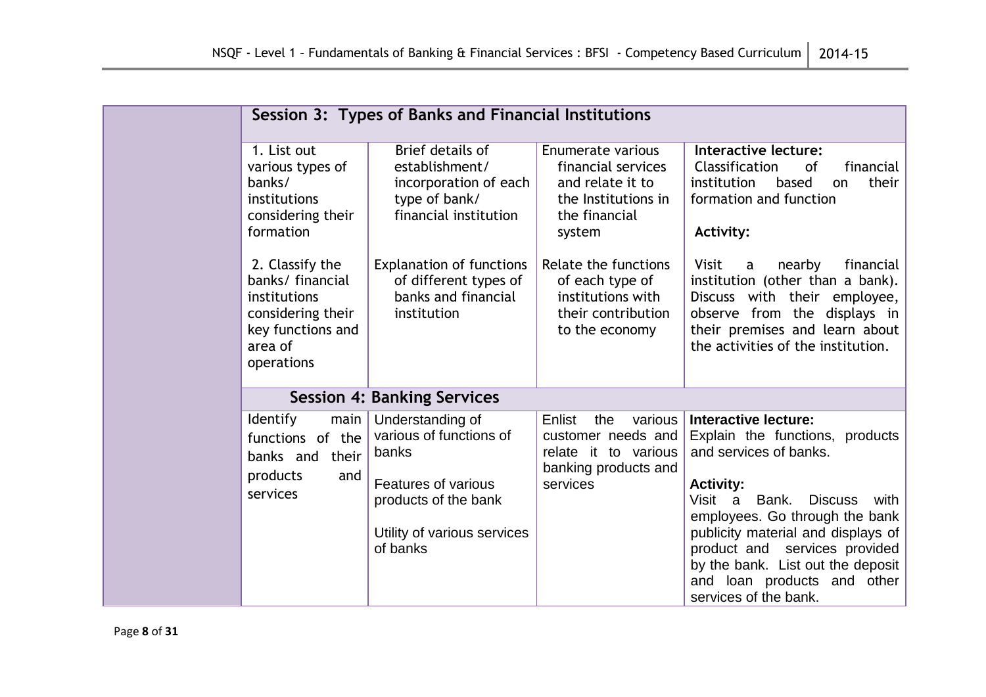|                                                                                                                        | Session 3: Types of Banks and Financial Institutions                                                                                           |                                                                                                               |                                                                                                                                                                                                                                                                                                                                                                     |
|------------------------------------------------------------------------------------------------------------------------|------------------------------------------------------------------------------------------------------------------------------------------------|---------------------------------------------------------------------------------------------------------------|---------------------------------------------------------------------------------------------------------------------------------------------------------------------------------------------------------------------------------------------------------------------------------------------------------------------------------------------------------------------|
| 1. List out<br>various types of<br>banks/<br>institutions<br>considering their<br>formation                            | Brief details of<br>establishment/<br>incorporation of each<br>type of bank/<br>financial institution                                          | Enumerate various<br>financial services<br>and relate it to<br>the Institutions in<br>the financial<br>system | Interactive lecture:<br>Classification<br>financial<br>of<br>their<br>institution<br>based<br>on<br>formation and function<br>Activity:                                                                                                                                                                                                                             |
| 2. Classify the<br>banks/ financial<br>institutions<br>considering their<br>key functions and<br>area of<br>operations | <b>Explanation of functions</b><br>of different types of<br>banks and financial<br>institution                                                 | Relate the functions<br>of each type of<br>institutions with<br>their contribution<br>to the economy          | <b>Visit</b><br>nearby<br>financial<br>a<br>institution (other than a bank).<br>Discuss with their employee,<br>observe from the displays in<br>their premises and learn about<br>the activities of the institution.                                                                                                                                                |
|                                                                                                                        | <b>Session 4: Banking Services</b>                                                                                                             |                                                                                                               |                                                                                                                                                                                                                                                                                                                                                                     |
| Identify<br>main<br>functions of the<br>banks and their<br>products<br>and<br>services                                 | Understanding of<br>various of functions of<br>banks<br>Features of various<br>products of the bank<br>Utility of various services<br>of banks | various<br>Enlist<br>the<br>customer needs and<br>relate it to various<br>banking products and<br>services    | <b>Interactive lecture:</b><br>Explain the functions, products<br>and services of banks.<br><b>Activity:</b><br>Visit<br>Bank.<br><b>Discuss</b><br>a<br>with<br>employees. Go through the bank<br>publicity material and displays of<br>product and services provided<br>by the bank. List out the deposit<br>and loan products and other<br>services of the bank. |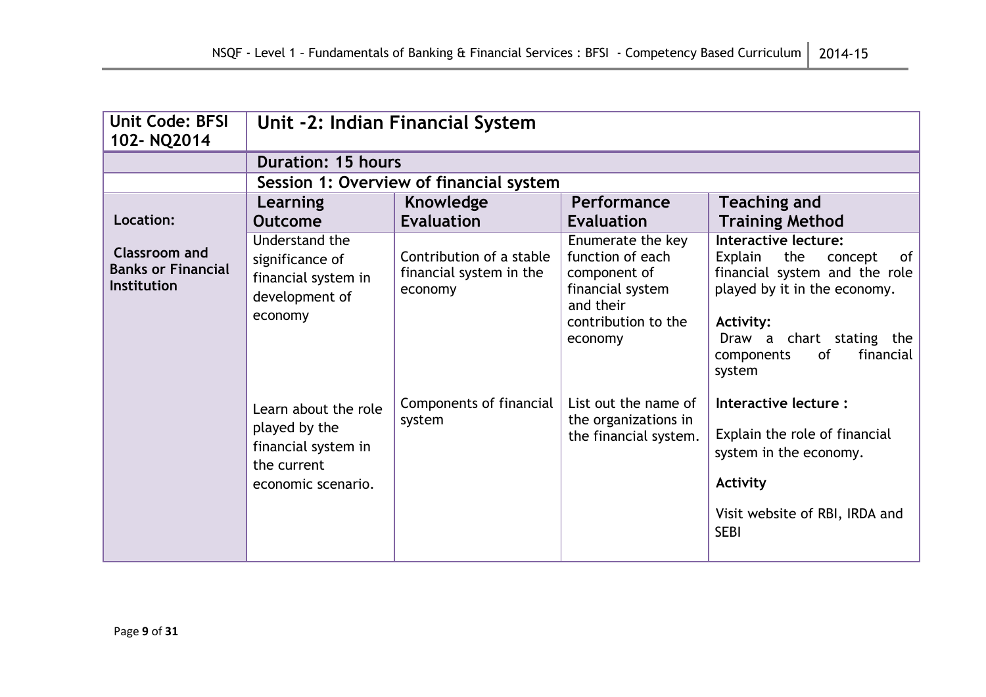| <b>Unit Code: BFSI</b><br>102-NQ2014                      | Unit -2: Indian Financial System                                                                  |                                                                |                                                                                                                          |                                                                                                                                                                                                              |
|-----------------------------------------------------------|---------------------------------------------------------------------------------------------------|----------------------------------------------------------------|--------------------------------------------------------------------------------------------------------------------------|--------------------------------------------------------------------------------------------------------------------------------------------------------------------------------------------------------------|
|                                                           | <b>Duration: 15 hours</b>                                                                         |                                                                |                                                                                                                          |                                                                                                                                                                                                              |
|                                                           |                                                                                                   | Session 1: Overview of financial system                        |                                                                                                                          |                                                                                                                                                                                                              |
|                                                           | Learning                                                                                          | Knowledge                                                      | <b>Performance</b>                                                                                                       | <b>Teaching and</b>                                                                                                                                                                                          |
| Location:                                                 | <b>Outcome</b>                                                                                    | <b>Evaluation</b>                                              | <b>Evaluation</b>                                                                                                        | <b>Training Method</b>                                                                                                                                                                                       |
| Classroom and<br><b>Banks or Financial</b><br>Institution | Understand the<br>significance of<br>financial system in<br>development of<br>economy             | Contribution of a stable<br>financial system in the<br>economy | Enumerate the key<br>function of each<br>component of<br>financial system<br>and their<br>contribution to the<br>economy | Interactive lecture:<br>Explain<br>the<br>of<br>concept<br>financial system and the role<br>played by it in the economy.<br>Activity:<br>Draw a chart stating the<br>financial<br>0f<br>components<br>system |
|                                                           | Learn about the role<br>played by the<br>financial system in<br>the current<br>economic scenario. | Components of financial<br>system                              | List out the name of<br>the organizations in<br>the financial system.                                                    | Interactive lecture :<br>Explain the role of financial<br>system in the economy.<br>Activity<br>Visit website of RBI, IRDA and<br><b>SEBI</b>                                                                |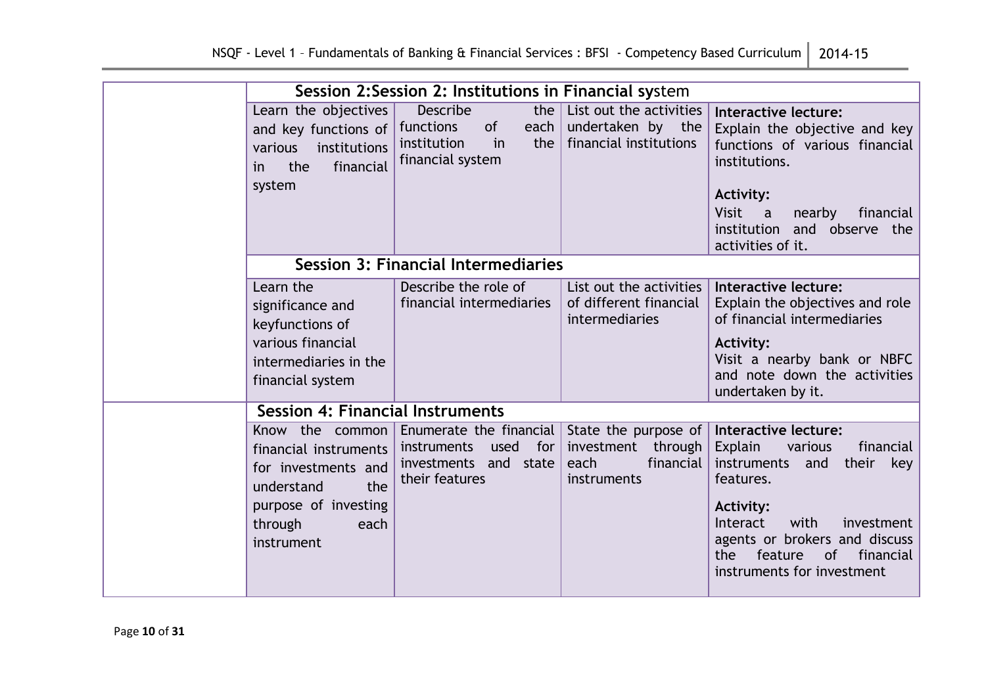|                          |                                                                                                                    |                                                                                   |                                  | Session 2: Session 2: Institutions in Financial system                            |                                                                                                                                                                                                                       |
|--------------------------|--------------------------------------------------------------------------------------------------------------------|-----------------------------------------------------------------------------------|----------------------------------|-----------------------------------------------------------------------------------|-----------------------------------------------------------------------------------------------------------------------------------------------------------------------------------------------------------------------|
| various<br>in.<br>system | Learn the objectives<br>and key functions of<br>institutions<br>financial<br>the                                   | <b>Describe</b><br>of<br>functions<br>institution<br>financial system             | the $ $<br>each $ $<br>the<br>in | List out the activities<br>undertaken by the<br>financial institutions            | Interactive lecture:<br>Explain the objective and key<br>functions of various financial<br>institutions.<br>Activity:<br><b>Visit</b><br>financial<br>a<br>nearby<br>institution and observe the<br>activities of it. |
|                          |                                                                                                                    | <b>Session 3: Financial Intermediaries</b>                                        |                                  |                                                                                   |                                                                                                                                                                                                                       |
|                          | Learn the<br>significance and<br>keyfunctions of<br>various financial<br>intermediaries in the<br>financial system | Describe the role of<br>financial intermediaries                                  |                                  | List out the activities<br>of different financial<br>intermediaries               | Interactive lecture:<br>Explain the objectives and role<br>of financial intermediaries<br><b>Activity:</b><br>Visit a nearby bank or NBFC<br>and note down the activities<br>undertaken by it.                        |
|                          | <b>Session 4: Financial Instruments</b>                                                                            |                                                                                   |                                  |                                                                                   |                                                                                                                                                                                                                       |
|                          | Know the common<br>financial instruments<br>for investments and<br>the<br>understand                               | Enumerate the financial<br>instruments<br>investments and state<br>their features | used for                         | State the purpose of<br>through<br>investment<br>financial<br>each<br>instruments | Interactive lecture:<br>Explain<br>various<br>financial<br>instruments<br>their<br>and<br>key<br>features.                                                                                                            |
| through                  | purpose of investing<br>each<br>instrument                                                                         |                                                                                   |                                  |                                                                                   | <b>Activity:</b><br>with<br>Interact<br>investment<br>agents or brokers and discuss<br>financial<br>feature<br>of<br>the<br>instruments for investment                                                                |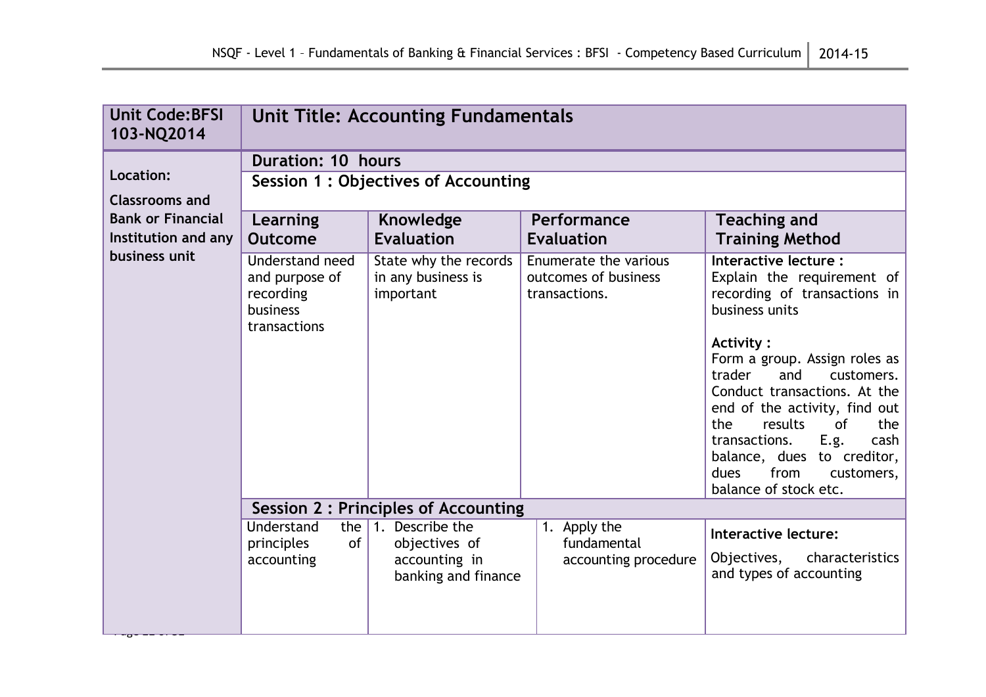| <b>Unit Code: BFSI</b><br>103-NQ2014                                     | <b>Unit Title: Accounting Fundamentals</b>                                 |                                                          |                                                                |                                                                                                                                                                                                                                                                                                                                                                                                                               |
|--------------------------------------------------------------------------|----------------------------------------------------------------------------|----------------------------------------------------------|----------------------------------------------------------------|-------------------------------------------------------------------------------------------------------------------------------------------------------------------------------------------------------------------------------------------------------------------------------------------------------------------------------------------------------------------------------------------------------------------------------|
|                                                                          | <b>Duration: 10 hours</b>                                                  |                                                          |                                                                |                                                                                                                                                                                                                                                                                                                                                                                                                               |
| Location:                                                                |                                                                            | Session 1: Objectives of Accounting                      |                                                                |                                                                                                                                                                                                                                                                                                                                                                                                                               |
| <b>Classrooms and</b><br><b>Bank or Financial</b><br>Institution and any | Learning<br><b>Outcome</b>                                                 | Knowledge<br><b>Evaluation</b>                           | Performance<br><b>Evaluation</b>                               | <b>Teaching and</b><br><b>Training Method</b>                                                                                                                                                                                                                                                                                                                                                                                 |
| business unit                                                            | Understand need<br>and purpose of<br>recording<br>business<br>transactions | State why the records<br>in any business is<br>important | Enumerate the various<br>outcomes of business<br>transactions. | Interactive lecture :<br>Explain the requirement of<br>recording of transactions in<br>business units<br><b>Activity:</b><br>Form a group. Assign roles as<br>and<br>trader<br>customers.<br>Conduct transactions. At the<br>end of the activity, find out<br>results<br><b>of</b><br>the<br>the $ $<br>E.g.<br>transactions.<br>$\cosh$<br>balance, dues to creditor,<br>from<br>customers,<br>dues<br>balance of stock etc. |
|                                                                          |                                                                            | <b>Session 2: Principles of Accounting</b>               |                                                                |                                                                                                                                                                                                                                                                                                                                                                                                                               |
|                                                                          | Understand<br>the $ $<br>of<br>principles                                  | 1. Describe the<br>objectives of                         | 1. Apply the<br>fundamental                                    | Interactive lecture:                                                                                                                                                                                                                                                                                                                                                                                                          |
|                                                                          | accounting                                                                 | accounting in<br>banking and finance                     | accounting procedure                                           | characteristics<br>Objectives,<br>and types of accounting                                                                                                                                                                                                                                                                                                                                                                     |
|                                                                          |                                                                            |                                                          |                                                                |                                                                                                                                                                                                                                                                                                                                                                                                                               |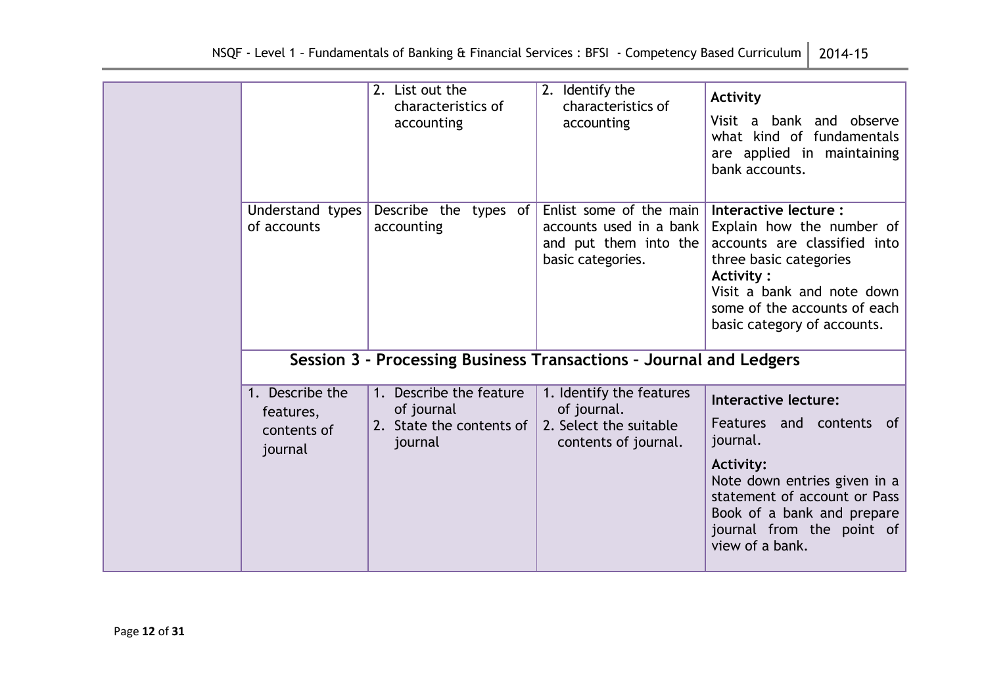|                                                        | 2. List out the<br>characteristics of<br>accounting                          | 2. Identify the<br>characteristics of<br>accounting                                                | Activity<br>Visit a bank and observe<br>what kind of fundamentals<br>are applied in maintaining<br>bank accounts.                                                                                                              |
|--------------------------------------------------------|------------------------------------------------------------------------------|----------------------------------------------------------------------------------------------------|--------------------------------------------------------------------------------------------------------------------------------------------------------------------------------------------------------------------------------|
| Understand types<br>of accounts                        | Describe the types of<br>accounting                                          | Enlist some of the main<br>$accounts$ used in a bank<br>and put them into the<br>basic categories. | Interactive lecture :<br>Explain how the number of<br>accounts are classified into<br>three basic categories<br><b>Activity:</b><br>Visit a bank and note down<br>some of the accounts of each<br>basic category of accounts.  |
|                                                        |                                                                              | Session 3 - Processing Business Transactions - Journal and Ledgers                                 |                                                                                                                                                                                                                                |
| 1. Describe the<br>features,<br>contents of<br>journal | 1. Describe the feature<br>of journal<br>2. State the contents of<br>journal | 1. Identify the features<br>of journal.<br>2. Select the suitable<br>contents of journal.          | Interactive lecture:<br>Features and contents of<br>journal.<br><b>Activity:</b><br>Note down entries given in a<br>statement of account or Pass<br>Book of a bank and prepare<br>journal from the point of<br>view of a bank. |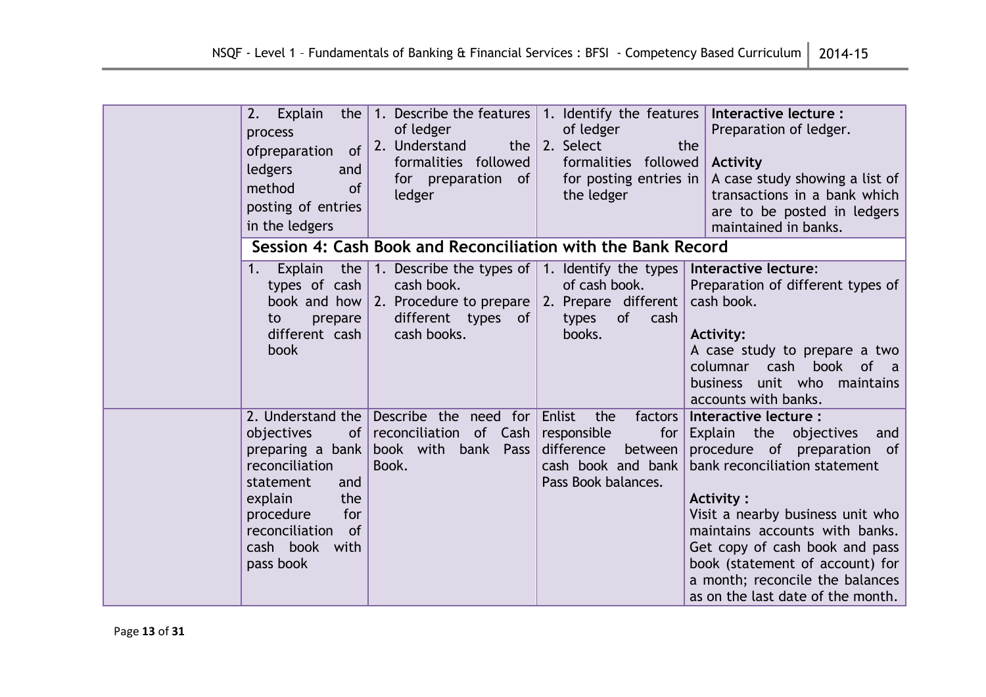| 2. Explain<br>the<br>process<br>of<br>ofpreparation<br>ledgers<br>and<br>method<br><b>of</b><br>posting of entries<br>in the ledgers                                 | 1. Describe the features 1. Identify the features<br>of ledger<br>2. Understand<br>the $ $<br>formalities followed<br>for preparation of<br>ledger            | of ledger<br>2. Select<br>the<br>formalities followed<br>for posting entries in<br>the ledger                        | Interactive lecture :<br>Preparation of ledger.<br>Activity<br>A case study showing a list of<br>transactions in a bank which<br>are to be posted in ledgers<br>maintained in banks.                                                                                                                                                                   |
|----------------------------------------------------------------------------------------------------------------------------------------------------------------------|---------------------------------------------------------------------------------------------------------------------------------------------------------------|----------------------------------------------------------------------------------------------------------------------|--------------------------------------------------------------------------------------------------------------------------------------------------------------------------------------------------------------------------------------------------------------------------------------------------------------------------------------------------------|
|                                                                                                                                                                      | Session 4: Cash Book and Reconciliation with the Bank Record                                                                                                  |                                                                                                                      |                                                                                                                                                                                                                                                                                                                                                        |
| the<br>1.<br>Explain<br>types of cash<br>book and how<br>prepare<br>to<br>different cash<br>book                                                                     | 1. Describe the types of $\vert$ 1. Identify the types<br>cash book.<br>2. Procedure to prepare $ 2$ . Prepare different<br>different types of<br>cash books. | of cash book.<br>of<br>types<br>cash<br>books.                                                                       | Interactive lecture:<br>Preparation of different types of<br>cash book.<br><b>Activity:</b><br>A case study to prepare a two<br>columnar cash book of a<br>business unit who maintains<br>accounts with banks.                                                                                                                                         |
| objectives<br>preparing a bank<br>reconciliation<br>statement<br>and<br>the<br>explain<br>for<br>procedure<br>reconciliation<br>of<br>cash book<br>with<br>pass book | 2. Understand the Describe the need for<br>of reconciliation of $Cash$<br>book with bank Pass<br>Book.                                                        | Enlist<br>the<br>factors<br>responsible<br>for<br>difference<br>between<br>cash book and bank<br>Pass Book balances. | Interactive lecture :<br>Explain the objectives<br>and<br>procedure of preparation of<br>bank reconciliation statement<br>Activity:<br>Visit a nearby business unit who<br>maintains accounts with banks.<br>Get copy of cash book and pass<br>book (statement of account) for<br>a month; reconcile the balances<br>as on the last date of the month. |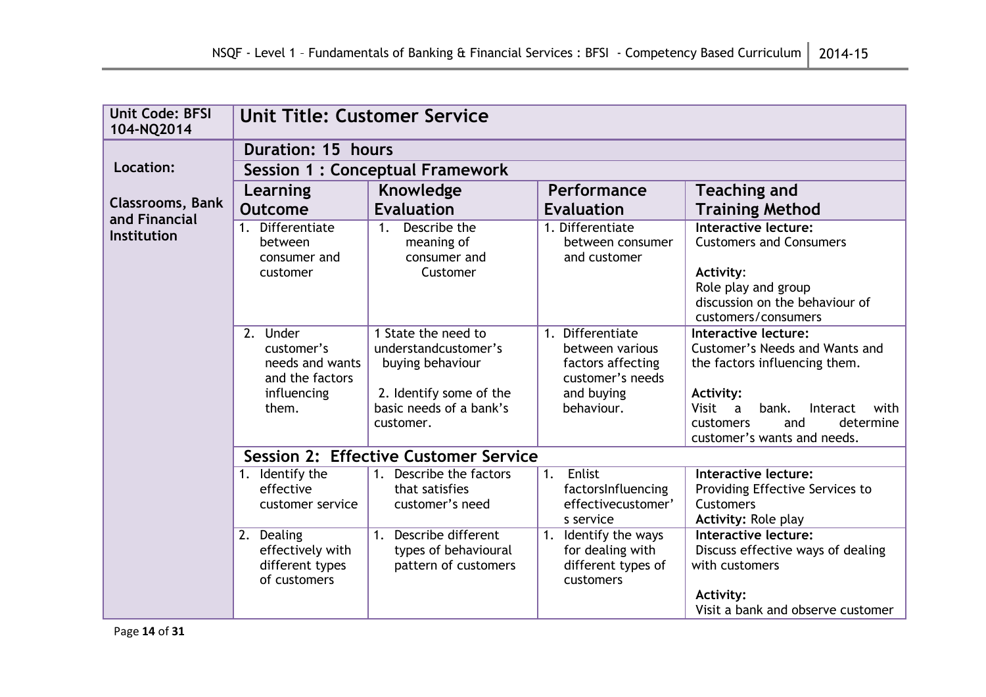| <b>Unit Code: BFSI</b><br>104-NQ2014                                       | <b>Unit Title: Customer Service</b>                                                  |                                                                                                                                    |                                                                                                          |                                                                                                                                                                                                                                            |  |
|----------------------------------------------------------------------------|--------------------------------------------------------------------------------------|------------------------------------------------------------------------------------------------------------------------------------|----------------------------------------------------------------------------------------------------------|--------------------------------------------------------------------------------------------------------------------------------------------------------------------------------------------------------------------------------------------|--|
|                                                                            | <b>Duration: 15 hours</b>                                                            |                                                                                                                                    |                                                                                                          |                                                                                                                                                                                                                                            |  |
| Location:                                                                  |                                                                                      | <b>Session 1: Conceptual Framework</b>                                                                                             |                                                                                                          |                                                                                                                                                                                                                                            |  |
|                                                                            | Learning                                                                             | Knowledge                                                                                                                          | Performance                                                                                              | <b>Teaching and</b>                                                                                                                                                                                                                        |  |
| <b>Classrooms, Bank</b><br>and Financial                                   | <b>Outcome</b>                                                                       | <b>Evaluation</b>                                                                                                                  | <b>Evaluation</b>                                                                                        | <b>Training Method</b>                                                                                                                                                                                                                     |  |
| Differentiate<br><b>Institution</b><br>between<br>consumer and<br>customer |                                                                                      | Describe the<br>1 <sub>1</sub><br>meaning of<br>consumer and<br>Customer                                                           | 1. Differentiate<br>between consumer<br>and customer                                                     | Interactive lecture:<br><b>Customers and Consumers</b><br>Activity:<br>Role play and group<br>discussion on the behaviour of<br>customers/consumers                                                                                        |  |
|                                                                            | 2. Under<br>customer's<br>needs and wants<br>and the factors<br>influencing<br>them. | 1 State the need to<br>understandcustomer's<br>buying behaviour<br>2. Identify some of the<br>basic needs of a bank's<br>customer. | 1. Differentiate<br>between various<br>factors affecting<br>customer's needs<br>and buying<br>behaviour. | Interactive lecture:<br>Customer's Needs and Wants and<br>the factors influencing them.<br><b>Activity:</b><br>Visit<br>bank.<br>Interact<br>with<br>$\overline{a}$<br>and<br>determine<br><b>customers</b><br>customer's wants and needs. |  |
|                                                                            |                                                                                      | <b>Session 2: Effective Customer Service</b>                                                                                       |                                                                                                          |                                                                                                                                                                                                                                            |  |
|                                                                            | 1. Identify the<br>effective<br>customer service                                     | Describe the factors<br>1 <sub>1</sub><br>that satisfies<br>customer's need                                                        | Enlist<br>1.<br>factorsInfluencing<br>effectivecustomer'<br>s service                                    | <b>Interactive lecture:</b><br>Providing Effective Services to<br><b>Customers</b><br><b>Activity: Role play</b>                                                                                                                           |  |
|                                                                            | 2. Dealing<br>effectively with<br>different types<br>of customers                    | <b>Describe different</b><br>1.<br>types of behavioural<br>pattern of customers                                                    | 1. Identify the ways<br>for dealing with<br>different types of<br>customers                              | Interactive lecture:<br>Discuss effective ways of dealing<br>with customers<br>Activity:<br>Visit a bank and observe customer                                                                                                              |  |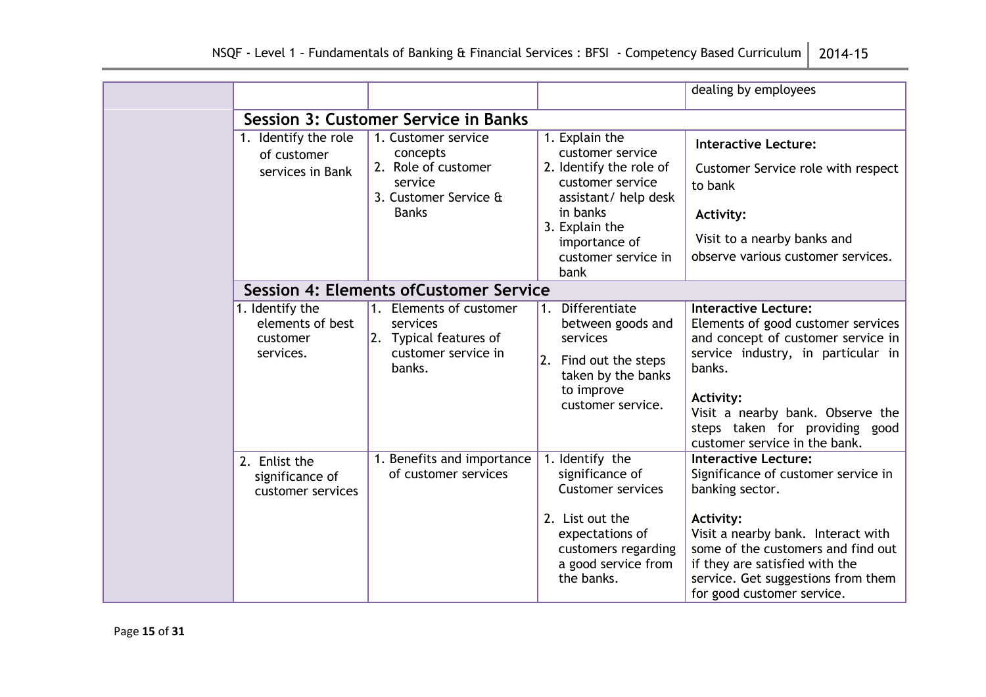|                                                              |                                                                                                            |                                                                                                                                                                                         | dealing by employees                                                                                                                                                                                                                                                                 |
|--------------------------------------------------------------|------------------------------------------------------------------------------------------------------------|-----------------------------------------------------------------------------------------------------------------------------------------------------------------------------------------|--------------------------------------------------------------------------------------------------------------------------------------------------------------------------------------------------------------------------------------------------------------------------------------|
|                                                              | <b>Session 3: Customer Service in Banks</b>                                                                |                                                                                                                                                                                         |                                                                                                                                                                                                                                                                                      |
| 1. Identify the role<br>of customer<br>services in Bank      | 1. Customer service<br>concepts<br>2. Role of customer<br>service<br>3. Customer Service &<br><b>Banks</b> | 1. Explain the<br>customer service<br>2. Identify the role of<br>customer service<br>assistant/ help desk<br>in banks<br>3. Explain the<br>importance of<br>customer service in<br>bank | <b>Interactive Lecture:</b><br>Customer Service role with respect<br>to bank<br><b>Activity:</b><br>Visit to a nearby banks and<br>observe various customer services.                                                                                                                |
|                                                              | <b>Session 4: Elements of Customer Service</b>                                                             |                                                                                                                                                                                         |                                                                                                                                                                                                                                                                                      |
| 1. Identify the<br>elements of best<br>customer<br>services. | 1. Elements of customer<br>services<br>2. Typical features of<br>customer service in<br>banks.             | Differentiate<br>1.<br>between goods and<br>services<br>2. Find out the steps<br>taken by the banks<br>to improve<br>customer service.                                                  | <b>Interactive Lecture:</b><br>Elements of good customer services<br>and concept of customer service in<br>service industry, in particular in<br>banks.<br>Activity:<br>Visit a nearby bank. Observe the<br>steps taken for providing good<br>customer service in the bank.          |
| 2. Enlist the<br>significance of<br>customer services        | 1. Benefits and importance<br>of customer services                                                         | 1. Identify the<br>significance of<br><b>Customer services</b><br>2. List out the<br>expectations of<br>customers regarding<br>a good service from<br>the banks.                        | <b>Interactive Lecture:</b><br>Significance of customer service in<br>banking sector.<br>Activity:<br>Visit a nearby bank. Interact with<br>some of the customers and find out<br>if they are satisfied with the<br>service. Get suggestions from them<br>for good customer service. |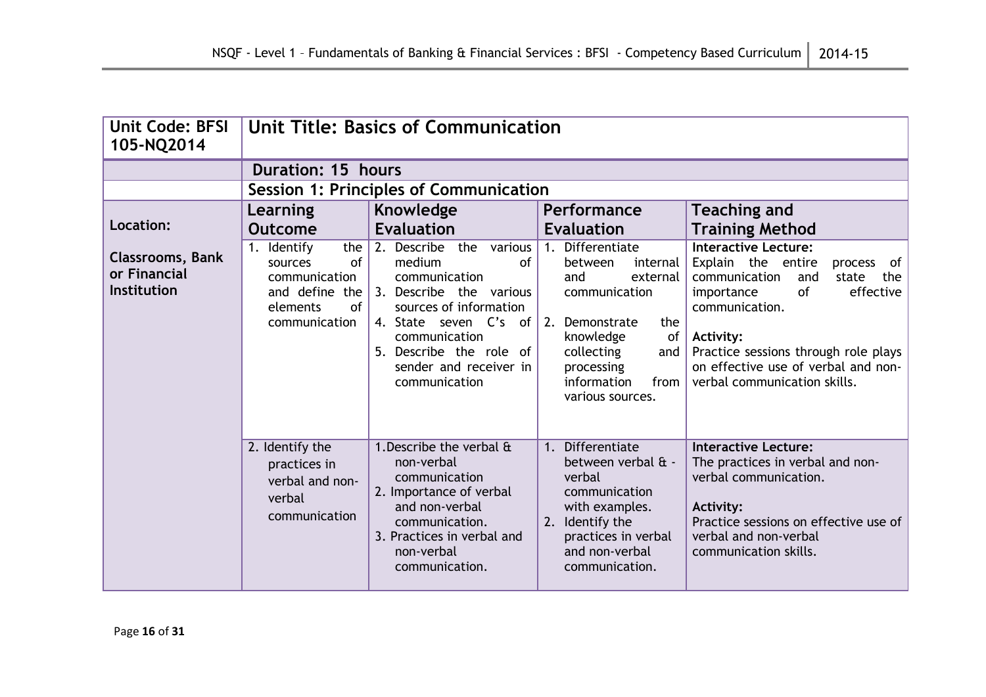| Unit Code: BFSI<br>105-NQ2014                                 | <b>Unit Title: Basics of Communication</b>                                                                |                                                                                                                                                                                                                                  |                                                                                                                                                                                                          |                                                                                                                                                                                                                                                                                                  |
|---------------------------------------------------------------|-----------------------------------------------------------------------------------------------------------|----------------------------------------------------------------------------------------------------------------------------------------------------------------------------------------------------------------------------------|----------------------------------------------------------------------------------------------------------------------------------------------------------------------------------------------------------|--------------------------------------------------------------------------------------------------------------------------------------------------------------------------------------------------------------------------------------------------------------------------------------------------|
|                                                               | <b>Duration: 15 hours</b>                                                                                 |                                                                                                                                                                                                                                  |                                                                                                                                                                                                          |                                                                                                                                                                                                                                                                                                  |
|                                                               |                                                                                                           | <b>Session 1: Principles of Communication</b>                                                                                                                                                                                    |                                                                                                                                                                                                          |                                                                                                                                                                                                                                                                                                  |
|                                                               | Learning                                                                                                  | Knowledge                                                                                                                                                                                                                        | Performance                                                                                                                                                                                              | <b>Teaching and</b>                                                                                                                                                                                                                                                                              |
| Location:                                                     | <b>Outcome</b>                                                                                            | <b>Evaluation</b>                                                                                                                                                                                                                | <b>Evaluation</b>                                                                                                                                                                                        | <b>Training Method</b>                                                                                                                                                                                                                                                                           |
| <b>Classrooms, Bank</b><br>or Financial<br><b>Institution</b> | 1. Identify<br>the<br>of<br>sources<br>communication<br>and define the<br>elements<br>0f<br>communication | 2. Describe the<br>various<br>medium<br>of<br>communication<br>3. Describe the various<br>sources of information<br>4. State seven C's of<br>communication<br>5. Describe the role of<br>sender and receiver in<br>communication | 1. Differentiate<br>between<br>internal<br>and<br>external<br>communication<br>2.<br>Demonstrate<br>the<br>knowledge<br>of<br>collecting<br>and<br>processing<br>information<br>from<br>various sources. | <b>Interactive Lecture:</b><br>Explain the entire<br>of<br>process<br>the<br>communication<br>and<br>state<br>effective<br>of<br>importance<br>communication.<br><b>Activity:</b><br>Practice sessions through role plays<br>on effective use of verbal and non-<br>verbal communication skills. |
|                                                               | 2. Identify the<br>practices in<br>verbal and non-<br>verbal<br>communication                             | 1. Describe the verbal &<br>non-verbal<br>communication<br>2. Importance of verbal<br>and non-verbal<br>communication.<br>3. Practices in verbal and<br>non-verbal<br>communication.                                             | 1. Differentiate<br>between verbal & -<br>verbal<br>communication<br>with examples.<br>Identify the<br>2.<br>practices in verbal<br>and non-verbal<br>communication.                                     | <b>Interactive Lecture:</b><br>The practices in verbal and non-<br>verbal communication.<br><b>Activity:</b><br>Practice sessions on effective use of<br>verbal and non-verbal<br>communication skills.                                                                                          |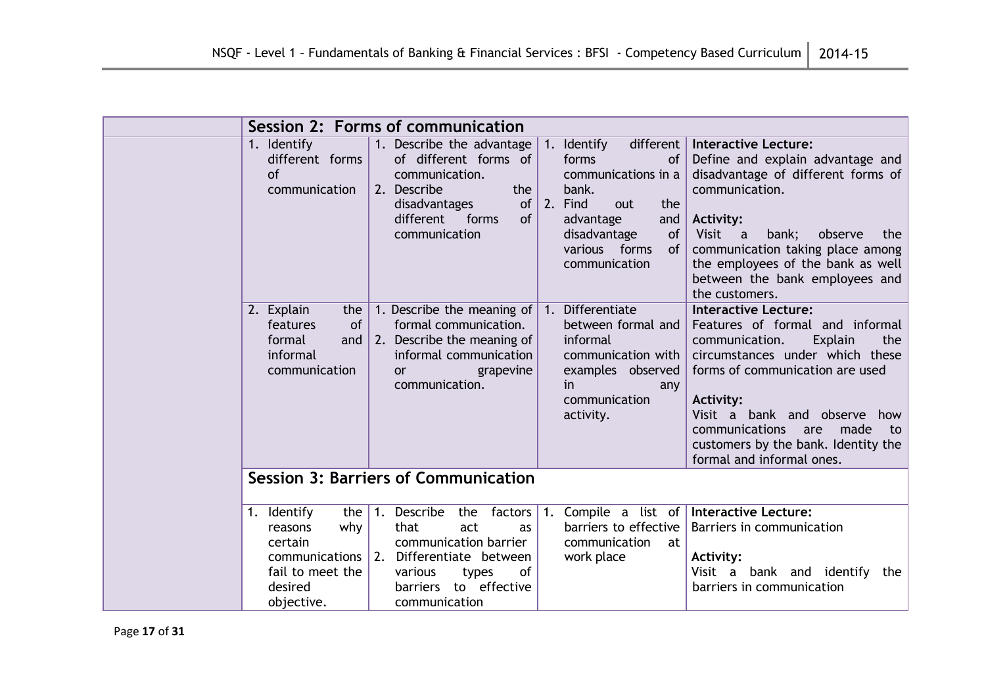| Session 2: Forms of communication                                                            |                                                                                                                                                                                                                                                                                                                                                                                |                                                                                                                                                                                                                                                                                                                                            |  |  |  |
|----------------------------------------------------------------------------------------------|--------------------------------------------------------------------------------------------------------------------------------------------------------------------------------------------------------------------------------------------------------------------------------------------------------------------------------------------------------------------------------|--------------------------------------------------------------------------------------------------------------------------------------------------------------------------------------------------------------------------------------------------------------------------------------------------------------------------------------------|--|--|--|
| 1. Identify<br>different forms<br><b>of</b><br>communication                                 | 1. Describe the advantage<br>different  <br>1. Identify<br>of different forms of<br>forms<br>of<br>communications in a<br>communication.<br>2. Describe<br>the<br>bank.<br>of<br>2.<br>disadvantages<br>Find<br>the<br>out<br>different<br>forms<br><b>of</b><br>advantage<br>and<br>communication<br>disadvantage<br><b>of</b><br>various forms<br><b>of</b><br>communication | <b>Interactive Lecture:</b><br>Define and explain advantage and<br>disadvantage of different forms of<br>communication.<br><b>Activity:</b><br>Visit a<br>bank;<br>observe<br>the<br>communication taking place among<br>the employees of the bank as well<br>between the bank employees and<br>the customers.                             |  |  |  |
| 2. Explain<br>the<br>features<br>of<br>formal<br>and<br>informal<br>communication            | 1. Differentiate<br>1. Describe the meaning of<br>formal communication.<br>between formal and<br>2. Describe the meaning of<br>informal<br>informal communication<br>communication with<br>examples observed<br>grapevine<br>or<br>communication.<br>in.<br>any<br>communication<br>activity.                                                                                  | <b>Interactive Lecture:</b><br>Features of formal and informal<br>Explain<br>communication.<br>the<br>circumstances under which these<br>forms of communication are used<br><b>Activity:</b><br>Visit a bank and observe<br>how<br>communications<br>made<br>are<br>to<br>customers by the bank. Identity the<br>formal and informal ones. |  |  |  |
|                                                                                              | <b>Session 3: Barriers of Communication</b>                                                                                                                                                                                                                                                                                                                                    |                                                                                                                                                                                                                                                                                                                                            |  |  |  |
| 1. Identify<br>the<br>why<br>reasons<br>certain<br>fail to meet the<br>desired<br>objective. | Describe<br>(1,<br>the<br>factors<br>1.<br>barriers to effective<br>that<br>act<br>as<br>communication barrier<br>communication<br>at<br>communications 2. Differentiate between<br>work place<br>of<br>various<br>types<br>barriers to effective<br>communication                                                                                                             | Compile a list of Interactive Lecture:<br>Barriers in communication<br>Activity:<br>Visit a bank and identify<br>the<br>barriers in communication                                                                                                                                                                                          |  |  |  |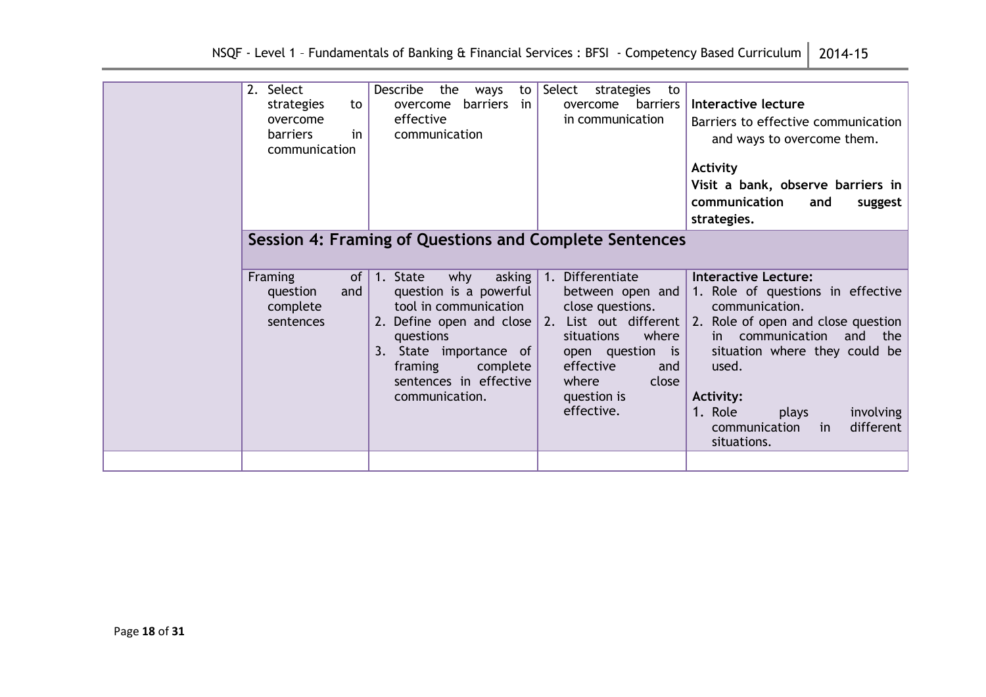| 2. Select<br>strategies<br>to<br>overcome<br>in<br><b>barriers</b><br>communication | Describe<br>the<br>ways<br>to<br>barriers<br>in<br>overcome<br>effective<br>communication                                                                                                                                                                                                                     | Select<br>strategies<br>to<br>barriers<br>overcome<br>in communication                                                                                                    | Interactive lecture<br>Barriers to effective communication<br>and ways to overcome them.<br>Activity<br>Visit a bank, observe barriers in<br>communication<br>and<br>suggest<br>strategies.                                                                                                                            |
|-------------------------------------------------------------------------------------|---------------------------------------------------------------------------------------------------------------------------------------------------------------------------------------------------------------------------------------------------------------------------------------------------------------|---------------------------------------------------------------------------------------------------------------------------------------------------------------------------|------------------------------------------------------------------------------------------------------------------------------------------------------------------------------------------------------------------------------------------------------------------------------------------------------------------------|
| Framing<br>of<br>question<br>and<br>complete<br>sentences                           | Session 4: Framing of Questions and Complete Sentences<br>1. State<br>why<br>asking<br>question is a powerful<br>tool in communication<br>2. Define open and close $\vert$ 2. List out different<br>questions<br>State importance of<br>3.<br>complete<br>framing<br>sentences in effective<br>communication. | 1. Differentiate<br>between open and<br>close questions.<br>situations<br>where<br>open question<br>is<br>effective<br>and<br>where<br>close<br>question is<br>effective. | <b>Interactive Lecture:</b><br>1. Role of questions in effective<br>communication.<br>2. Role of open and close question<br>communication and the<br>in i<br>situation where they could be<br>used.<br><b>Activity:</b><br>1. Role<br>involving<br>plays<br>different<br>communication<br><sub>in</sub><br>situations. |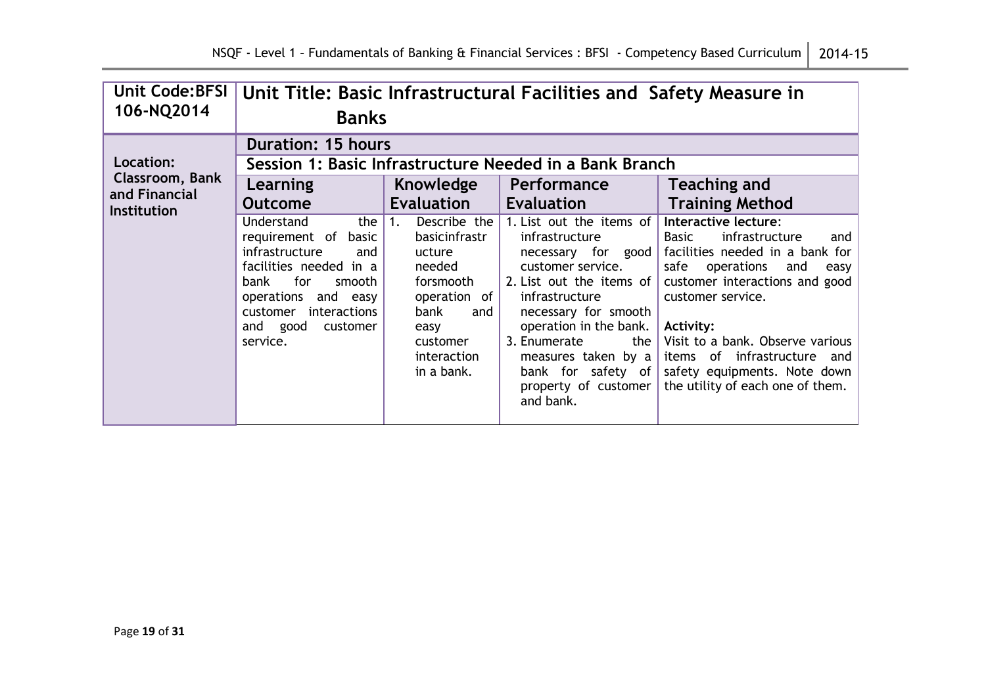| <b>Unit Code: BFSI</b><br>106-NQ2014                 | Unit Title: Basic Infrastructural Facilities and Safety Measure in<br><b>Banks</b>                                                                                                                                                              |                                                                                                                                                                     |                                                                                                                                                                                                                                                                                                                       |                                                                                                                                                                                                                                                                                                                                                                     |  |  |  |
|------------------------------------------------------|-------------------------------------------------------------------------------------------------------------------------------------------------------------------------------------------------------------------------------------------------|---------------------------------------------------------------------------------------------------------------------------------------------------------------------|-----------------------------------------------------------------------------------------------------------------------------------------------------------------------------------------------------------------------------------------------------------------------------------------------------------------------|---------------------------------------------------------------------------------------------------------------------------------------------------------------------------------------------------------------------------------------------------------------------------------------------------------------------------------------------------------------------|--|--|--|
| Location:<br><b>Classroom, Bank</b><br>and Financial | <b>Duration: 15 hours</b><br>Session 1: Basic Infrastructure Needed in a Bank Branch<br><b>Teaching and</b><br>Knowledge<br><b>Performance</b><br>Learning                                                                                      |                                                                                                                                                                     |                                                                                                                                                                                                                                                                                                                       |                                                                                                                                                                                                                                                                                                                                                                     |  |  |  |
| <b>Institution</b>                                   | <b>Outcome</b><br><b>Understand</b><br>the $\vert$ 1.<br>requirement of basic<br>infrastructure<br>and<br>facilities needed in a<br>for<br>smooth  <br>bank<br>operations and easy<br>customer interactions<br>and good<br>customer<br>service. | <b>Evaluation</b><br>Describe the<br>basicinfrastr<br>ucture<br>needed<br>forsmooth<br>operation of<br>bank<br>and<br>easy<br>customer<br>interaction<br>in a bank. | <b>Evaluation</b><br>1. List out the items of<br>infrastructure<br>necessary for good<br>customer service.<br>2. List out the items of<br>infrastructure<br>necessary for smooth<br>operation in the bank.<br>3. Enumerate<br>the  <br>measures taken by a<br>bank for safety of<br>property of customer<br>and bank. | <b>Training Method</b><br>Interactive lecture:<br>infrastructure<br>Basic<br>and<br>facilities needed in a bank for<br>safe<br>operations<br>and<br>easy<br>customer interactions and good<br>customer service.<br>Activity:<br>Visit to a bank. Observe various<br>items of infrastructure and<br>safety equipments. Note down<br>the utility of each one of them. |  |  |  |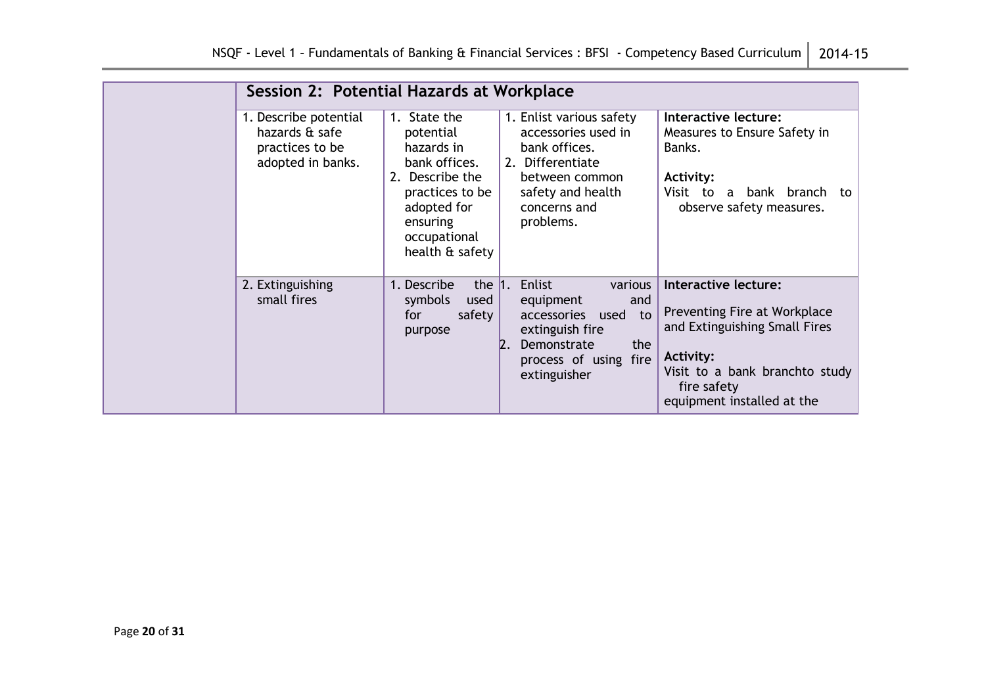| Session 2: Potential Hazards at Workplace                                       |                                                                                                                                                              |                                                                                                                                                                        |                                                                                                                                                                                          |  |  |
|---------------------------------------------------------------------------------|--------------------------------------------------------------------------------------------------------------------------------------------------------------|------------------------------------------------------------------------------------------------------------------------------------------------------------------------|------------------------------------------------------------------------------------------------------------------------------------------------------------------------------------------|--|--|
| 1. Describe potential<br>hazards & safe<br>practices to be<br>adopted in banks. | 1. State the<br>potential<br>hazards in<br>bank offices.<br>2. Describe the<br>practices to be<br>adopted for<br>ensuring<br>occupational<br>health & safety | 1. Enlist various safety<br>accessories used in<br>bank offices.<br>2. Differentiate<br>between common<br>safety and health<br>concerns and<br>problems.               | Interactive lecture:<br>Measures to Ensure Safety in<br>Banks.<br><b>Activity:</b><br>Visit to a bank branch<br>to<br>observe safety measures.                                           |  |  |
| 2. Extinguishing<br>small fires                                                 | 1. Describe<br>the $1.$<br>symbols<br>used<br>safety<br>for<br>purpose                                                                                       | Enlist<br>various<br>equipment<br>and<br>accessories used<br>to<br>extinguish fire<br>the<br>Demonstrate<br>$\mathsf{Z}$ .<br>process of using<br>fire<br>extinguisher | Interactive lecture:<br>Preventing Fire at Workplace<br>and Extinguishing Small Fires<br><b>Activity:</b><br>Visit to a bank branchto study<br>fire safety<br>equipment installed at the |  |  |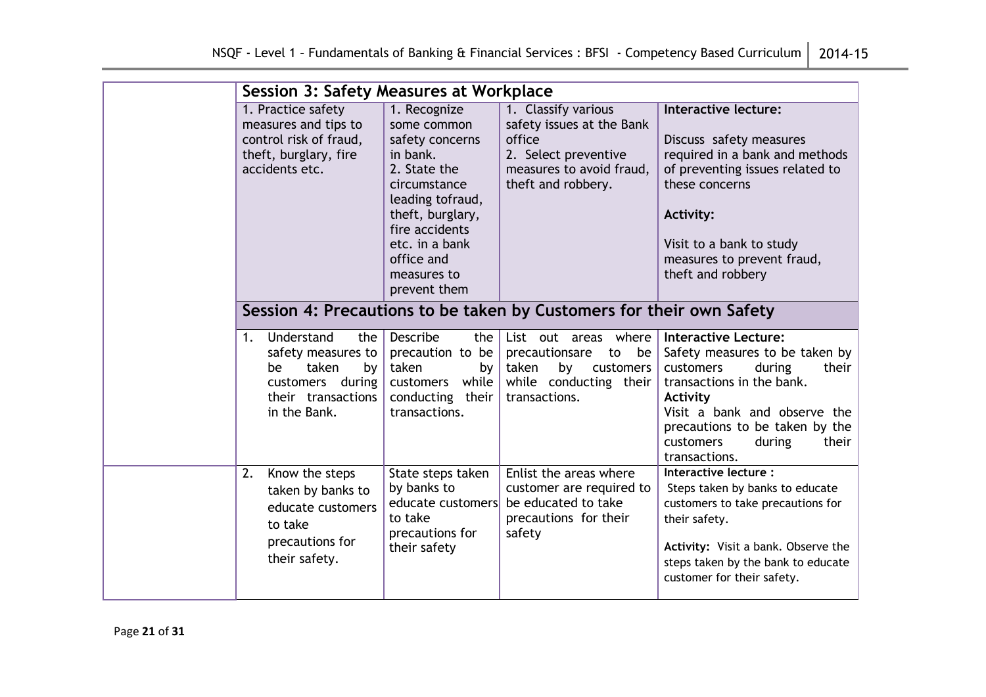| <b>Session 3: Safety Measures at Workplace</b>                                                                               |                                                                                                                                                                                                                     |                                                                                                                                      |                                                                                                                                                                                                                                                           |  |  |
|------------------------------------------------------------------------------------------------------------------------------|---------------------------------------------------------------------------------------------------------------------------------------------------------------------------------------------------------------------|--------------------------------------------------------------------------------------------------------------------------------------|-----------------------------------------------------------------------------------------------------------------------------------------------------------------------------------------------------------------------------------------------------------|--|--|
| 1. Practice safety<br>measures and tips to<br>control risk of fraud,<br>theft, burglary, fire<br>accidents etc.              | 1. Recognize<br>some common<br>safety concerns<br>in bank.<br>2. State the<br>circumstance<br>leading tofraud,<br>theft, burglary,<br>fire accidents<br>etc. in a bank<br>office and<br>measures to<br>prevent them | 1. Classify various<br>safety issues at the Bank<br>office<br>2. Select preventive<br>measures to avoid fraud,<br>theft and robbery. | Interactive lecture:<br>Discuss safety measures<br>required in a bank and methods<br>of preventing issues related to<br>these concerns<br><b>Activity:</b><br>Visit to a bank to study<br>measures to prevent fraud,<br>theft and robbery                 |  |  |
|                                                                                                                              |                                                                                                                                                                                                                     | Session 4: Precautions to be taken by Customers for their own Safety                                                                 |                                                                                                                                                                                                                                                           |  |  |
| Understand<br>the<br>1.<br>safety measures to<br>taken<br>be<br>by<br>customers during<br>their transactions<br>in the Bank. | <b>Describe</b><br>the $ $<br>precaution to be<br>taken<br>by<br>customers while<br>conducting their<br>transactions.                                                                                               | List out areas where<br>precautionsare<br>to<br>be<br>taken<br>by customers<br>while conducting their<br>transactions.               | <b>Interactive Lecture:</b><br>Safety measures to be taken by<br>during<br>their<br>customers<br>transactions in the bank.<br>Activity<br>Visit a bank and observe the<br>precautions to be taken by the<br>their<br>customers<br>during<br>transactions. |  |  |
| Know the steps<br>2.<br>taken by banks to<br>educate customers<br>to take<br>precautions for<br>their safety.                | State steps taken<br>by banks to<br>educate customers<br>to take<br>precautions for<br>their safety                                                                                                                 | Enlist the areas where<br>customer are required to<br>be educated to take<br>precautions for their<br>safety                         | Interactive lecture :<br>Steps taken by banks to educate<br>customers to take precautions for<br>their safety.<br>Activity: Visit a bank. Observe the<br>steps taken by the bank to educate<br>customer for their safety.                                 |  |  |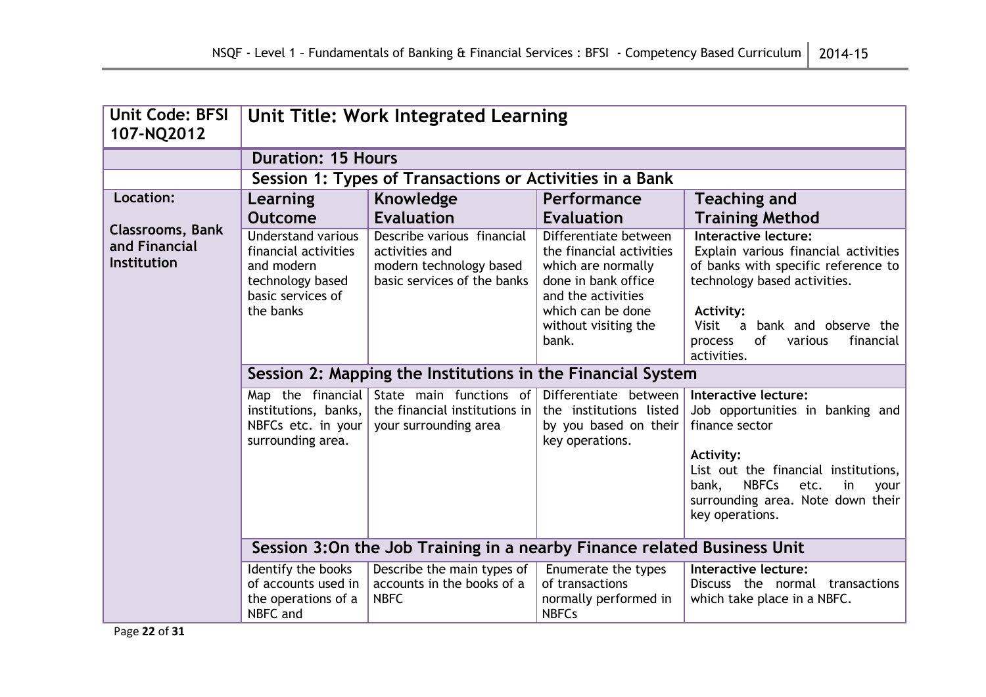| <b>Unit Code: BFSI</b><br>107-NQ2012                    | Unit Title: Work Integrated Learning                                                                                  |                                                                                                        |                                                                                                                                                                            |                                                                                                                                                                                                                                                           |  |  |
|---------------------------------------------------------|-----------------------------------------------------------------------------------------------------------------------|--------------------------------------------------------------------------------------------------------|----------------------------------------------------------------------------------------------------------------------------------------------------------------------------|-----------------------------------------------------------------------------------------------------------------------------------------------------------------------------------------------------------------------------------------------------------|--|--|
|                                                         | <b>Duration: 15 Hours</b>                                                                                             |                                                                                                        |                                                                                                                                                                            |                                                                                                                                                                                                                                                           |  |  |
|                                                         |                                                                                                                       | Session 1: Types of Transactions or Activities in a Bank                                               |                                                                                                                                                                            |                                                                                                                                                                                                                                                           |  |  |
| Location:                                               | Learning                                                                                                              | Knowledge                                                                                              | Performance                                                                                                                                                                | <b>Teaching and</b>                                                                                                                                                                                                                                       |  |  |
|                                                         | <b>Outcome</b>                                                                                                        | <b>Evaluation</b>                                                                                      | Evaluation                                                                                                                                                                 | <b>Training Method</b>                                                                                                                                                                                                                                    |  |  |
| <b>Classrooms, Bank</b><br>and Financial<br>Institution | <b>Understand various</b><br>financial activities<br>and modern<br>technology based<br>basic services of<br>the banks | Describe various financial<br>activities and<br>modern technology based<br>basic services of the banks | Differentiate between<br>the financial activities<br>which are normally<br>done in bank office<br>and the activities<br>which can be done<br>without visiting the<br>bank. | <b>Interactive lecture:</b><br>Explain various financial activities<br>of banks with specific reference to<br>technology based activities.<br><b>Activity:</b><br>Visit<br>a bank and observe the<br>process<br>of<br>financial<br>various<br>activities. |  |  |
|                                                         |                                                                                                                       |                                                                                                        | Session 2: Mapping the Institutions in the Financial System                                                                                                                |                                                                                                                                                                                                                                                           |  |  |
|                                                         | institutions, banks,<br>NBFCs etc. in your<br>surrounding area.                                                       | Map the financial State main functions of<br>the financial institutions in<br>your surrounding area    | Differentiate between<br>the institutions listed<br>by you based on their<br>key operations.                                                                               | Interactive lecture:<br>Job opportunities in banking and<br>finance sector                                                                                                                                                                                |  |  |
|                                                         |                                                                                                                       |                                                                                                        |                                                                                                                                                                            | <b>Activity:</b><br>List out the financial institutions,<br><b>NBFCs</b><br>etc.<br>in<br>bank,<br>your<br>surrounding area. Note down their<br>key operations.                                                                                           |  |  |
|                                                         | Session 3:0n the Job Training in a nearby Finance related Business Unit                                               |                                                                                                        |                                                                                                                                                                            |                                                                                                                                                                                                                                                           |  |  |
|                                                         | Identify the books<br>of accounts used in<br>the operations of a<br>NBFC and                                          | Describe the main types of<br>accounts in the books of a<br><b>NBFC</b>                                | Enumerate the types<br>of transactions<br>normally performed in<br><b>NBFCs</b>                                                                                            | Interactive lecture:<br>Discuss the normal transactions<br>which take place in a NBFC.                                                                                                                                                                    |  |  |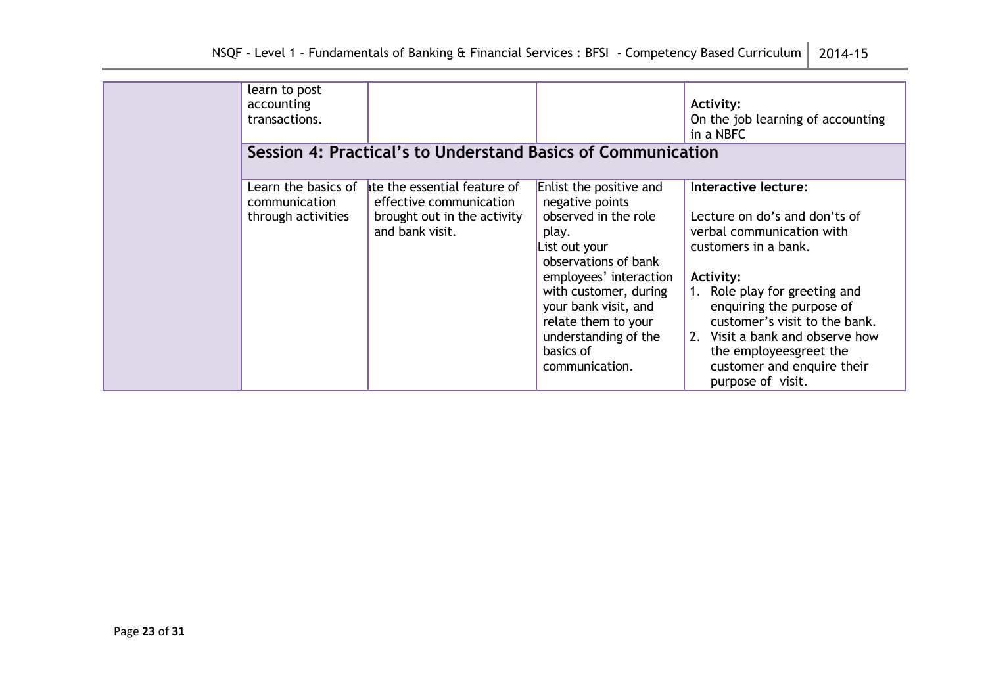| learn to post<br>accounting<br>transactions.               |                                                                                                           |                                                                                                                                                                                                                                                                               | Activity:<br>On the job learning of accounting<br>in a NBFC                                                                                                                                                                                                                                                                                  |
|------------------------------------------------------------|-----------------------------------------------------------------------------------------------------------|-------------------------------------------------------------------------------------------------------------------------------------------------------------------------------------------------------------------------------------------------------------------------------|----------------------------------------------------------------------------------------------------------------------------------------------------------------------------------------------------------------------------------------------------------------------------------------------------------------------------------------------|
|                                                            | Session 4: Practical's to Understand Basics of Communication                                              |                                                                                                                                                                                                                                                                               |                                                                                                                                                                                                                                                                                                                                              |
| Learn the basics of<br>communication<br>through activities | ate the essential feature of<br>effective communication<br>brought out in the activity<br>and bank visit. | Enlist the positive and<br>negative points<br>observed in the role<br>play.<br>List out your<br>observations of bank<br>employees' interaction<br>with customer, during<br>your bank visit, and<br>relate them to your<br>understanding of the<br>basics of<br>communication. | Interactive lecture:<br>Lecture on do's and don'ts of<br>verbal communication with<br>customers in a bank.<br><b>Activity:</b><br>1. Role play for greeting and<br>enquiring the purpose of<br>customer's visit to the bank.<br>2. Visit a bank and observe how<br>the employeesgreet the<br>customer and enquire their<br>purpose of visit. |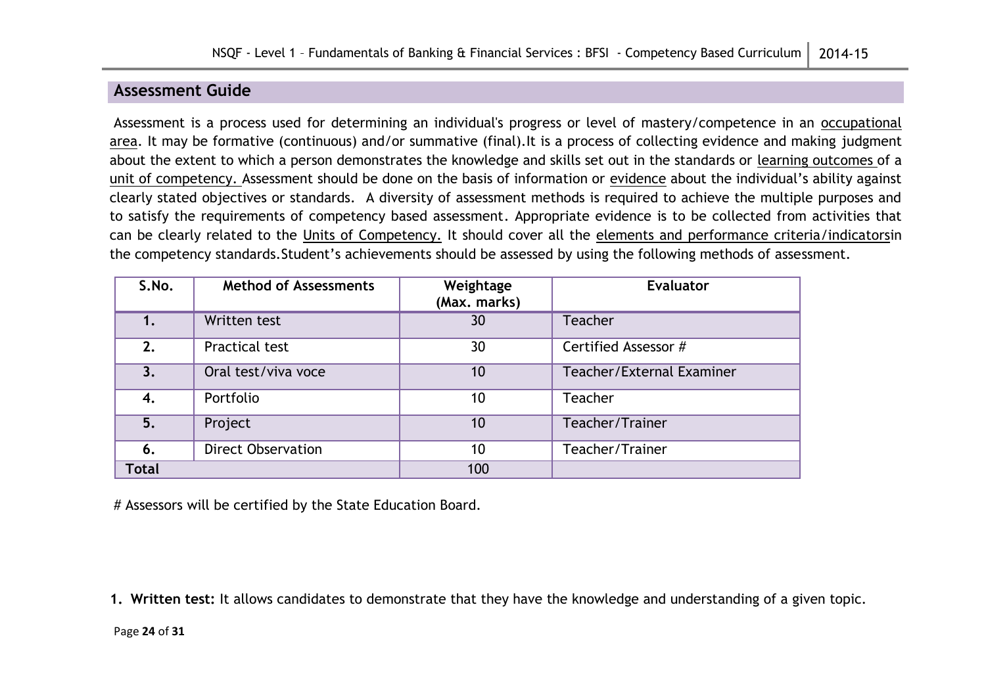## **Assessment Guide**

Assessment is a process used for determining an individual's progress or level of mastery/competence in an occupational area. It may be formative (continuous) and/or summative (final).It is a process of collecting evidence and making judgment about the extent to which a person demonstrates the knowledge and skills set out in the standards or learning outcomes of a unit of competency. Assessment should be done on the basis of information or evidence about the individual's ability against clearly stated objectives or standards. A diversity of assessment methods is required to achieve the multiple purposes and to satisfy the requirements of competency based assessment. Appropriate evidence is to be collected from activities that can be clearly related to the Units of Competency. It should cover all the elements and performance criteria/indicatorsin the competency standards.Student's achievements should be assessed by using the following methods of assessment.

| S.No.        | <b>Method of Assessments</b> | Weightage<br>(Max. marks) | <b>Evaluator</b>          |
|--------------|------------------------------|---------------------------|---------------------------|
|              | Written test                 | 30                        | Teacher                   |
| 2.           | Practical test               | 30                        | Certified Assessor #      |
| 3.           | Oral test/viva voce          | 10                        | Teacher/External Examiner |
| 4.           | Portfolio                    | 10                        | Teacher                   |
| 5.           | Project                      | 10                        | Teacher/Trainer           |
| 6.           | <b>Direct Observation</b>    | 10                        | Teacher/Trainer           |
| <b>Total</b> |                              | 100                       |                           |

# Assessors will be certified by the State Education Board.

**1. Written test:** It allows candidates to demonstrate that they have the knowledge and understanding of a given topic.

Page **24** of **31**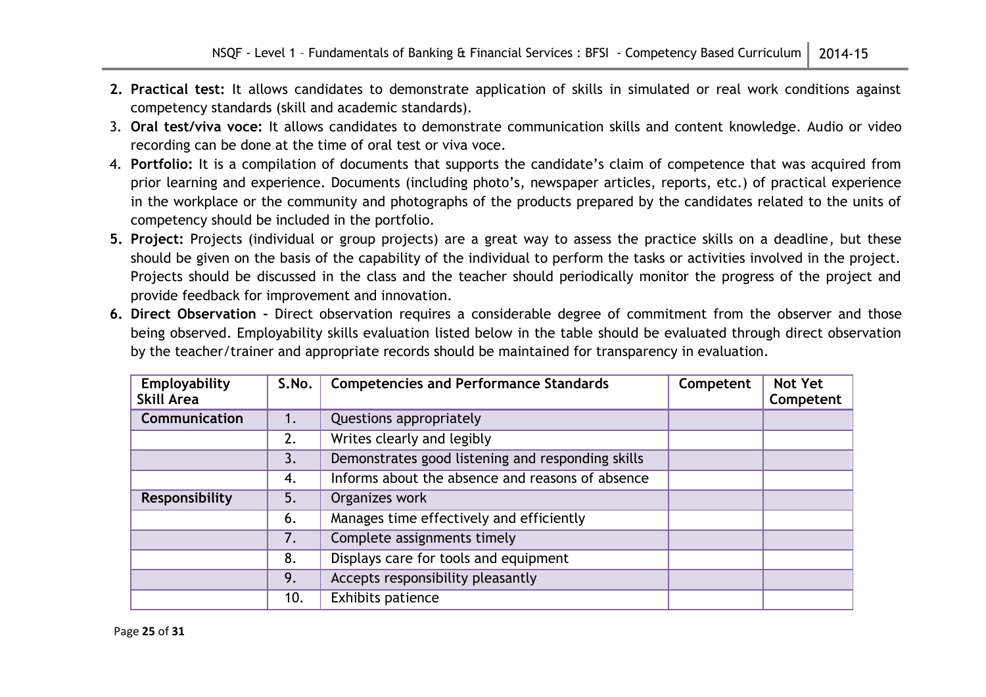- **2. Practical test:** It allows candidates to demonstrate application of skills in simulated or real work conditions against competency standards (skill and academic standards).
- 3. **Oral test/viva voce:** It allows candidates to demonstrate communication skills and content knowledge. Audio or video recording can be done at the time of oral test or viva voce.
- 4. **Portfolio:** It is a compilation of documents that supports the candidate's claim of competence that was acquired from prior learning and experience. Documents (including photo's, newspaper articles, reports, etc.) of practical experience in the workplace or the community and photographs of the products prepared by the candidates related to the units of competency should be included in the portfolio.
- **5. Project:** Projects (individual or group projects) are a great way to assess the practice skills on a deadline, but these should be given on the basis of the capability of the individual to perform the tasks or activities involved in the project. Projects should be discussed in the class and the teacher should periodically monitor the progress of the project and provide feedback for improvement and innovation.
- **6. Direct Observation –** Direct observation requires a considerable degree of commitment from the observer and those being observed. Employability skills evaluation listed below in the table should be evaluated through direct observation by the teacher/trainer and appropriate records should be maintained for transparency in evaluation.

| Employability<br><b>Skill Area</b> | S.No. | <b>Competencies and Performance Standards</b>     | Competent | <b>Not Yet</b><br>Competent |
|------------------------------------|-------|---------------------------------------------------|-----------|-----------------------------|
| Communication                      | 1.    | Questions appropriately                           |           |                             |
|                                    | 2.    | Writes clearly and legibly                        |           |                             |
|                                    | 3.    | Demonstrates good listening and responding skills |           |                             |
|                                    | 4.    | Informs about the absence and reasons of absence  |           |                             |
| Responsibility                     | 5.    | Organizes work                                    |           |                             |
|                                    | 6.    | Manages time effectively and efficiently          |           |                             |
|                                    | 7.    | Complete assignments timely                       |           |                             |
|                                    | 8.    | Displays care for tools and equipment             |           |                             |
|                                    | 9.    | Accepts responsibility pleasantly                 |           |                             |
|                                    | 10.   | Exhibits patience                                 |           |                             |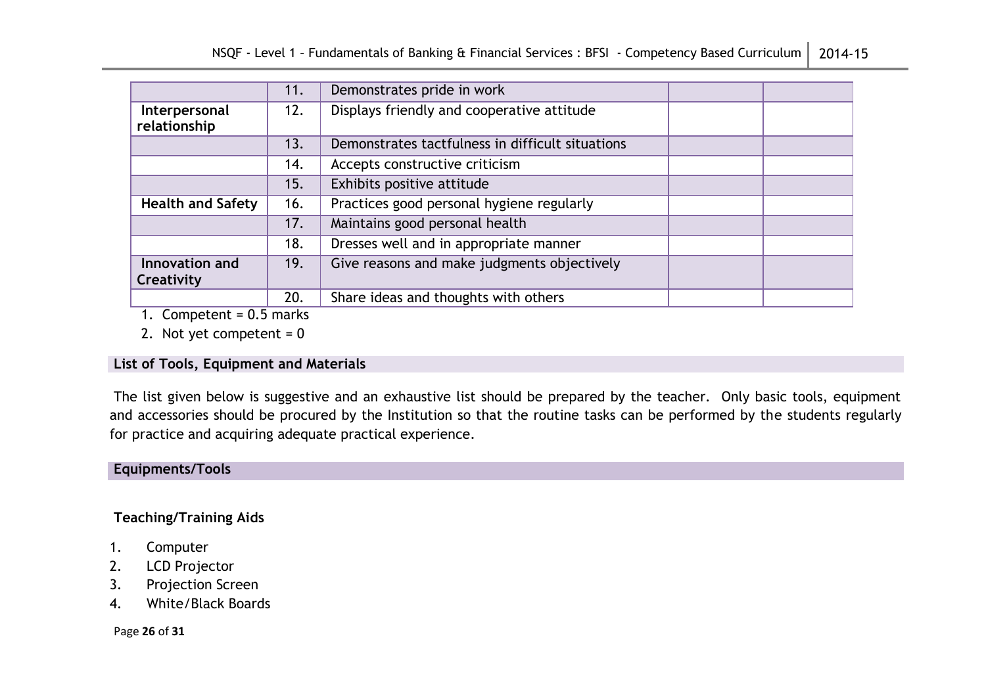|                               | 11. | Demonstrates pride in work                       |  |
|-------------------------------|-----|--------------------------------------------------|--|
| Interpersonal<br>relationship | 12. | Displays friendly and cooperative attitude       |  |
|                               | 13. | Demonstrates tactfulness in difficult situations |  |
|                               | 14. | Accepts constructive criticism                   |  |
|                               | 15. | Exhibits positive attitude                       |  |
| <b>Health and Safety</b>      | 16. | Practices good personal hygiene regularly        |  |
|                               | 17. | Maintains good personal health                   |  |
|                               | 18. | Dresses well and in appropriate manner           |  |
| Innovation and                | 19. | Give reasons and make judgments objectively      |  |
| Creativity                    |     |                                                  |  |
|                               | 20. | Share ideas and thoughts with others             |  |

1. Competent =  $0.5$  marks

2. Not yet competent =  $0$ 

#### **List of Tools, Equipment and Materials**

The list given below is suggestive and an exhaustive list should be prepared by the teacher. Only basic tools, equipment and accessories should be procured by the Institution so that the routine tasks can be performed by the students regularly for practice and acquiring adequate practical experience.

## **Equipments/Tools**

## **Teaching/Training Aids**

- 1. Computer
- 2. LCD Projector
- 3. Projection Screen
- 4. White/Black Boards

Page **26** of **31**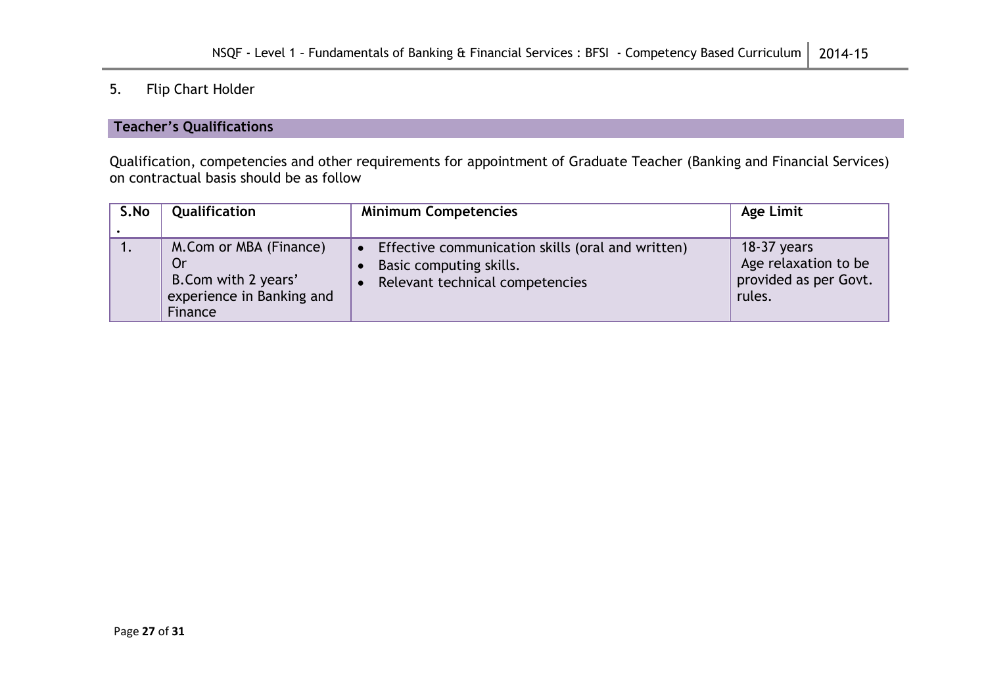# 5. Flip Chart Holder

#### **Teacher's Qualifications**

Qualification, competencies and other requirements for appointment of Graduate Teacher (Banking and Financial Services) on contractual basis should be as follow

| S.No | Qualification                                                                               | <b>Minimum Competencies</b>                                                                                     | Age Limit                                                                |
|------|---------------------------------------------------------------------------------------------|-----------------------------------------------------------------------------------------------------------------|--------------------------------------------------------------------------|
|      | M.Com or MBA (Finance)<br>Or<br>B.Com with 2 years'<br>experience in Banking and<br>Finance | Effective communication skills (oral and written)<br>Basic computing skills.<br>Relevant technical competencies | $18-37$ years<br>Age relaxation to be<br>provided as per Govt.<br>rules. |